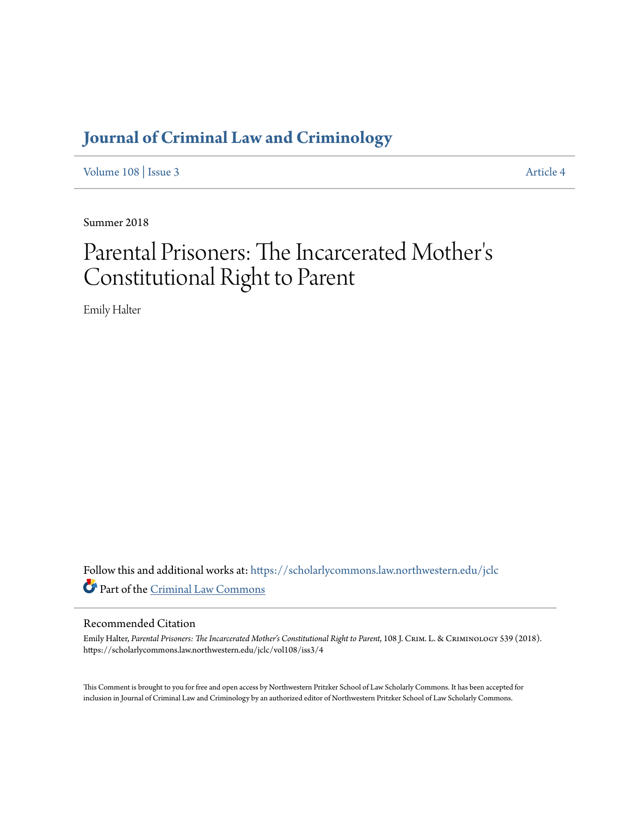# **[Journal of Criminal Law and Criminology](https://scholarlycommons.law.northwestern.edu/jclc?utm_source=scholarlycommons.law.northwestern.edu%2Fjclc%2Fvol108%2Fiss3%2F4&utm_medium=PDF&utm_campaign=PDFCoverPages)**

[Volume 108](https://scholarlycommons.law.northwestern.edu/jclc/vol108?utm_source=scholarlycommons.law.northwestern.edu%2Fjclc%2Fvol108%2Fiss3%2F4&utm_medium=PDF&utm_campaign=PDFCoverPages) | [Issue 3](https://scholarlycommons.law.northwestern.edu/jclc/vol108/iss3?utm_source=scholarlycommons.law.northwestern.edu%2Fjclc%2Fvol108%2Fiss3%2F4&utm_medium=PDF&utm_campaign=PDFCoverPages) [Article 4](https://scholarlycommons.law.northwestern.edu/jclc/vol108/iss3/4?utm_source=scholarlycommons.law.northwestern.edu%2Fjclc%2Fvol108%2Fiss3%2F4&utm_medium=PDF&utm_campaign=PDFCoverPages)

Summer 2018

## Parental Prisoners: The Incarcerated Mother ' s Constitutional Right to Parent

Emily Halter

Follow this and additional works at: [https://scholarlycommons.law.northwestern.edu/jclc](https://scholarlycommons.law.northwestern.edu/jclc?utm_source=scholarlycommons.law.northwestern.edu%2Fjclc%2Fvol108%2Fiss3%2F4&utm_medium=PDF&utm_campaign=PDFCoverPages) Part of the [Criminal Law Commons](http://network.bepress.com/hgg/discipline/912?utm_source=scholarlycommons.law.northwestern.edu%2Fjclc%2Fvol108%2Fiss3%2F4&utm_medium=PDF&utm_campaign=PDFCoverPages)

### Recommended Citation

Emily Halter, *Parental Prisoners: The Incarcerated Mother's Constitutional Right to Parent*, 108 J. Crim. L. & Criminology 539 (2018). https://scholarlycommons.law.northwestern.edu/jclc/vol108/iss3/4

This Comment is brought to you for free and open access by Northwestern Pritzker School of Law Scholarly Commons. It has been accepted for inclusion in Journal of Criminal Law and Criminology by an authorized editor of Northwestern Pritzker School of Law Scholarly Commons.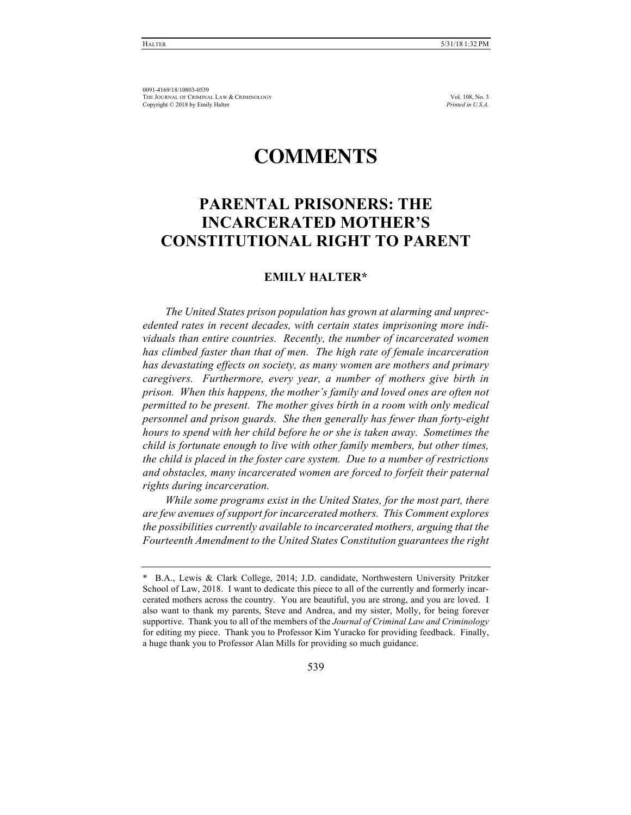## **COMMENTS**

## **PARENTAL PRISONERS: THE INCARCERATED MOTHER'S CONSTITUTIONAL RIGHT TO PARENT**

### **EMILY HALTER\***

*The United States prison population has grown at alarming and unprecedented rates in recent decades, with certain states imprisoning more individuals than entire countries. Recently, the number of incarcerated women has climbed faster than that of men. The high rate of female incarceration has devastating effects on society, as many women are mothers and primary caregivers. Furthermore, every year, a number of mothers give birth in prison. When this happens, the mother's family and loved ones are often not permitted to be present. The mother gives birth in a room with only medical personnel and prison guards. She then generally has fewer than forty-eight hours to spend with her child before he or she is taken away. Sometimes the child is fortunate enough to live with other family members, but other times, the child is placed in the foster care system. Due to a number of restrictions and obstacles, many incarcerated women are forced to forfeit their paternal rights during incarceration.*

*While some programs exist in the United States, for the most part, there are few avenues of support for incarcerated mothers. This Comment explores the possibilities currently available to incarcerated mothers, arguing that the Fourteenth Amendment to the United States Constitution guarantees the right* 

<sup>\*</sup> B.A., Lewis & Clark College, 2014; J.D. candidate, Northwestern University Pritzker School of Law, 2018. I want to dedicate this piece to all of the currently and formerly incarcerated mothers across the country. You are beautiful, you are strong, and you are loved. I also want to thank my parents, Steve and Andrea, and my sister, Molly, for being forever supportive. Thank you to all of the members of the *Journal of Criminal Law and Criminology*  for editing my piece. Thank you to Professor Kim Yuracko for providing feedback. Finally, a huge thank you to Professor Alan Mills for providing so much guidance.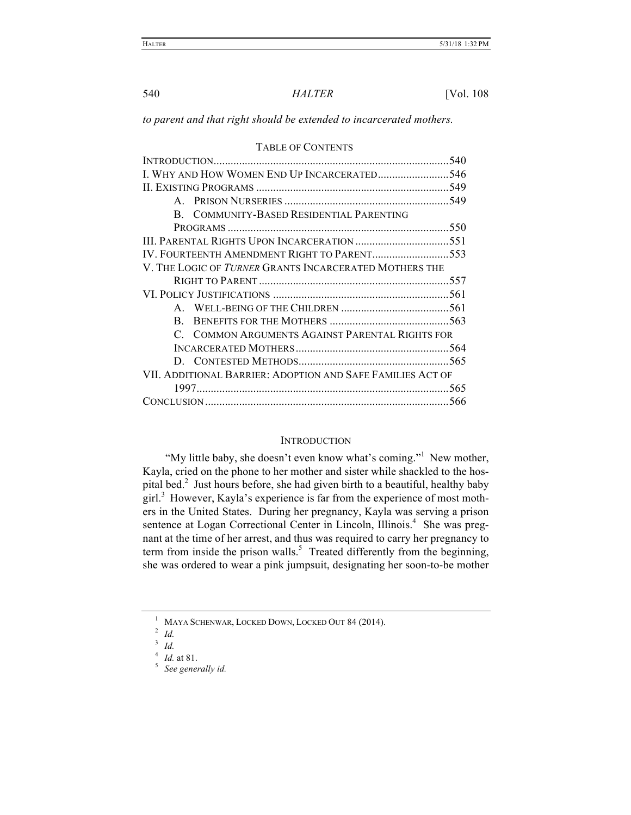*to parent and that right should be extended to incarcerated mothers.*

| TADLE OF CONTENTS                                          |
|------------------------------------------------------------|
| 540                                                        |
| I. WHY AND HOW WOMEN END UP INCARCERATED546                |
|                                                            |
|                                                            |
| B. COMMUNITY-BASED RESIDENTIAL PARENTING                   |
| 550                                                        |
|                                                            |
| IV. FOURTEENTH AMENDMENT RIGHT TO PARENT553                |
| V. THE LOGIC OF TURNER GRANTS INCARCERATED MOTHERS THE     |
|                                                            |
|                                                            |
|                                                            |
| R.                                                         |
| C. COMMON ARGUMENTS AGAINST PARENTAL RIGHTS FOR            |
|                                                            |
|                                                            |
| VII. ADDITIONAL BARRIER: ADOPTION AND SAFE FAMILIES ACT OF |
|                                                            |
| -566                                                       |

#### TABLE OF CONTENTS

#### **INTRODUCTION**

"My little baby, she doesn't even know what's coming."<sup>1</sup> New mother, Kayla, cried on the phone to her mother and sister while shackled to the hospital bed.<sup>2</sup> Just hours before, she had given birth to a beautiful, healthy baby  $\left[\text{girl}\right]$ <sup>3</sup> However, Kayla's experience is far from the experience of most mothers in the United States. During her pregnancy, Kayla was serving a prison sentence at Logan Correctional Center in Lincoln, Illinois.<sup>4</sup> She was pregnant at the time of her arrest, and thus was required to carry her pregnancy to term from inside the prison walls.<sup>5</sup> Treated differently from the beginning, she was ordered to wear a pink jumpsuit, designating her soon-to-be mother

<sup>1</sup> MAYA SCHENWAR, LOCKED DOWN, LOCKED OUT 84 (2014).

<sup>2</sup> *Id.*

 $\int_{4}^{3}$  *Id.* at 81.

<sup>&</sup>lt;sup>5</sup> See generally id.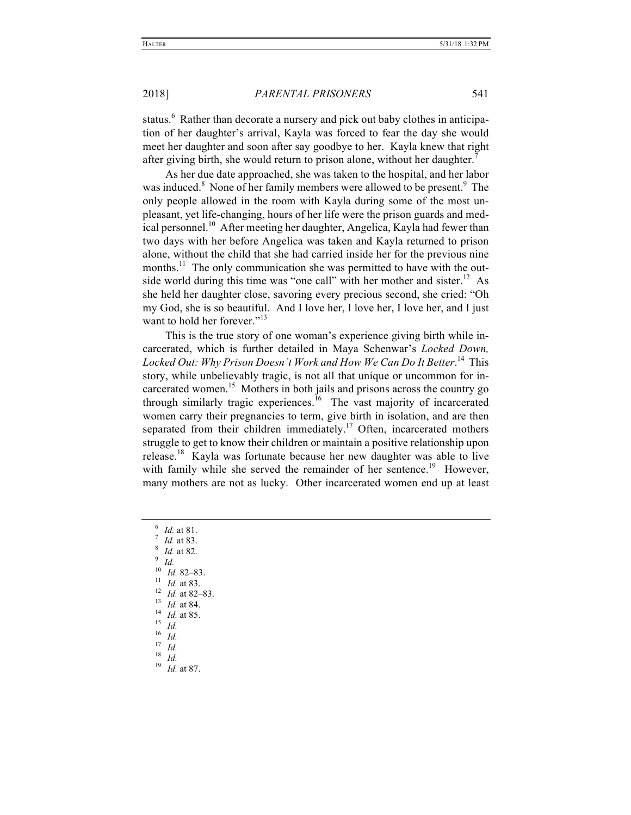status.<sup>6</sup> Rather than decorate a nursery and pick out baby clothes in anticipation of her daughter's arrival, Kayla was forced to fear the day she would meet her daughter and soon after say goodbye to her. Kayla knew that right after giving birth, she would return to prison alone, without her daughter.<sup>7</sup>

As her due date approached, she was taken to the hospital, and her labor was induced.<sup>8</sup> None of her family members were allowed to be present.<sup>9</sup> The only people allowed in the room with Kayla during some of the most unpleasant, yet life-changing, hours of her life were the prison guards and medical personnel.<sup>10</sup> After meeting her daughter, Angelica, Kayla had fewer than two days with her before Angelica was taken and Kayla returned to prison alone, without the child that she had carried inside her for the previous nine months.<sup>11</sup> The only communication she was permitted to have with the outside world during this time was "one call" with her mother and sister.<sup>12</sup> As she held her daughter close, savoring every precious second, she cried: "Oh my God, she is so beautiful. And I love her, I love her, I love her, and I just want to hold her forever<sup>"13</sup>

This is the true story of one woman's experience giving birth while incarcerated, which is further detailed in Maya Schenwar's *Locked Down, Locked Out: Why Prison Doesn't Work and How We Can Do It Better*. 14 This story, while unbelievably tragic, is not all that unique or uncommon for incarcerated women.<sup>15</sup> Mothers in both jails and prisons across the country go through similarly tragic experiences.<sup>16</sup> The vast majority of incarcerated women carry their pregnancies to term, give birth in isolation, and are then separated from their children immediately.<sup>17</sup> Often, incarcerated mothers struggle to get to know their children or maintain a positive relationship upon release.<sup>18</sup> Kayla was fortunate because her new daughter was able to live with family while she served the remainder of her sentence.<sup>19</sup> However, many mothers are not as lucky. Other incarcerated women end up at least

- 6 Id. at 81.<br>
7 Id. at 83.<br>
8 Id. at 82.<br>
9 Id.<br>
10 Id. 82–83.<br>
11 Id. at 83.<br>
12 Id. at 82–83.<br>
13 Id. at 84.<br>
14 Id. at 85.<br>
15 Id.<br>
16 Id.<br>
17 Id.<br>
18 Id.<br>
19 Id. at 87.
-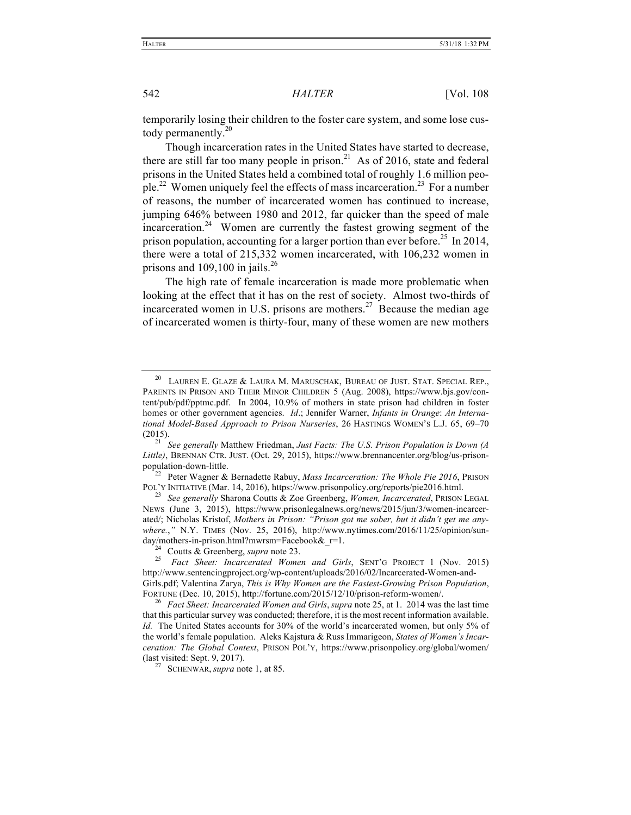temporarily losing their children to the foster care system, and some lose custody permanently. $^{20}$ 

Though incarceration rates in the United States have started to decrease, there are still far too many people in prison.<sup>21</sup> As of 2016, state and federal prisons in the United States held a combined total of roughly 1.6 million people.<sup>22</sup> Women uniquely feel the effects of mass incarceration.<sup>23</sup> For a number of reasons, the number of incarcerated women has continued to increase, jumping 646% between 1980 and 2012, far quicker than the speed of male incarceration.<sup>24</sup> Women are currently the fastest growing segment of the prison population, accounting for a larger portion than ever before.<sup>25</sup> In 2014, there were a total of 215,332 women incarcerated, with 106,232 women in prisons and  $109,100$  in jails.<sup>26</sup>

The high rate of female incarceration is made more problematic when looking at the effect that it has on the rest of society. Almost two-thirds of incarcerated women in U.S. prisons are mothers.<sup>27</sup> Because the median age of incarcerated women is thirty-four, many of these women are new mothers

population-down-little. 22 Peter Wagner & Bernadette Rabuy, *Mass Incarceration: The Whole Pie 2016*, PRISON POL'Y INITIATIVE (Mar. 14, 2016), https://www.prisonpolicy.org/reports/pie2016.html. 23 *See generally* Sharona Coutts & Zoe Greenberg, *Women, Incarcerated*, PRISON LEGAL

NEWS (June 3, 2015), https://www.prisonlegalnews.org/news/2015/jun/3/women-incarcerated/; Nicholas Kristof, *Mothers in Prison: "Prison got me sober, but it didn't get me anywhere.*,*"* N.Y. TIMES (Nov. 25, 2016), http://www.nytimes.com/2016/11/25/opinion/sunday/mothers-in-prison.html?mwrsm=Facebook&\_r=1.<br><sup>24</sup> Coutts & Greenberg, *supra* note 23.<br><sup>25</sup> *Fact Sheet: Incarcerated Women and Girls*, SENT'G PROJECT 1 (Nov. 2015)

http://www.sentencingproject.org/wp-content/uploads/2016/02/Incarcerated-Women-and-Girls.pdf; Valentina Zarya, *This is Why Women are the Fastest-Growing Prison Population*, FORTUNE (Dec. 10, 2015), http://fortune.com/2015/12/10/prison-reform-women/. 26 *Fact Sheet: Incarcerated Women and Girls*,*supra* note 25, at 1. 2014 was the last time

that this particular survey was conducted; therefore, it is the most recent information available. *Id.* The United States accounts for 30% of the world's incarcerated women, but only 5% of the world's female population. Aleks Kajstura & Russ Immarigeon, *States of Women's Incarceration: The Global Context*, PRISON POL'Y, https://www.prisonpolicy.org/global/women/ (last visited: Sept. 9, 2017). <sup>27</sup> SCHENWAR, *supra* note 1, at 85.

 $^{20}$  Lauren E. Glaze & Laura M. Maruschak, Bureau of Just. Stat. Special Rep., PARENTS IN PRISON AND THEIR MINOR CHILDREN 5 (Aug. 2008), https://www.bjs.gov/content/pub/pdf/pptmc.pdf. In 2004, 10.9% of mothers in state prison had children in foster homes or other government agencies. *Id*.; Jennifer Warner, *Infants in Orange*: *An International Model-Based Approach to Prison Nurseries*, 26 HASTINGS WOMEN'S L.J. 65, 69–70

<sup>(2015).</sup> <sup>21</sup> *See generally* Matthew Friedman, *Just Facts: The U.S. Prison Population is Down (A Little)*, BRENNAN CTR. JUST. (Oct. 29, 2015), https://www.brennancenter.org/blog/us-prison-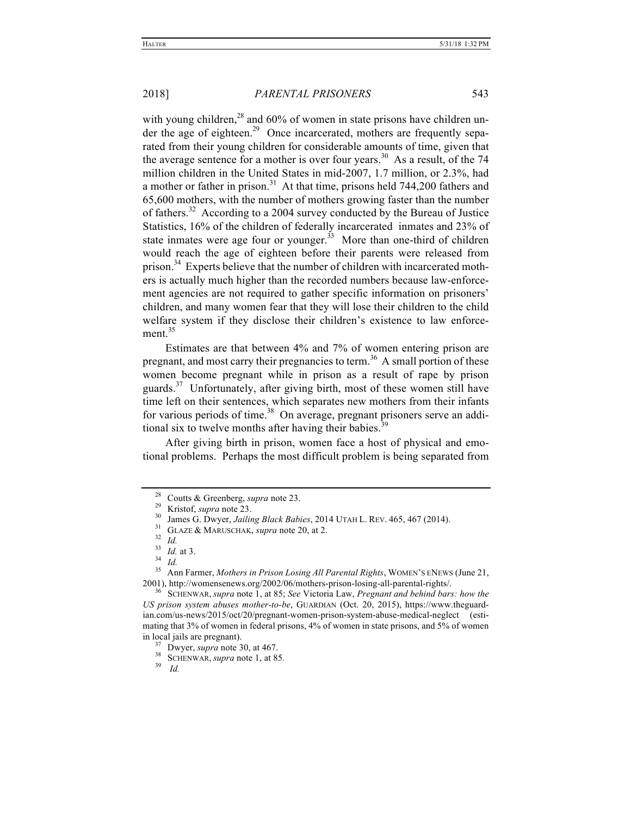with young children,<sup>28</sup> and 60% of women in state prisons have children under the age of eighteen.<sup>29</sup> Once incarcerated, mothers are frequently separated from their young children for considerable amounts of time, given that the average sentence for a mother is over four years.<sup>30</sup> As a result, of the 74 million children in the United States in mid-2007, 1.7 million, or 2.3%, had a mother or father in prison.<sup>31</sup> At that time, prisons held 744,200 fathers and 65,600 mothers, with the number of mothers growing faster than the number of fathers.<sup>32</sup> According to a 2004 survey conducted by the Bureau of Justice Statistics, 16% of the children of federally incarcerated inmates and 23% of state inmates were age four or younger.<sup>33</sup> More than one-third of children would reach the age of eighteen before their parents were released from prison.<sup>34</sup> Experts believe that the number of children with incarcerated mothers is actually much higher than the recorded numbers because law-enforcement agencies are not required to gather specific information on prisoners' children, and many women fear that they will lose their children to the child welfare system if they disclose their children's existence to law enforcement $35$ 

Estimates are that between 4% and 7% of women entering prison are pregnant, and most carry their pregnancies to term.<sup>36</sup> A small portion of these women become pregnant while in prison as a result of rape by prison guards. $37$  Unfortunately, after giving birth, most of these women still have time left on their sentences, which separates new mothers from their infants for various periods of time.<sup>38</sup> On average, pregnant prisoners serve an additional six to twelve months after having their babies.<sup>39</sup>

After giving birth in prison, women face a host of physical and emotional problems. Perhaps the most difficult problem is being separated from

<sup>&</sup>lt;sup>28</sup> Coutts & Greenberg, *supra* note 23.<br>
<sup>29</sup> Kristof, *supra* note 23.<br>
<sup>30</sup> James G. Dwyer, *Jailing Black Babies*, 2014 UTAH L. REV. 465, 467 (2014).<br>
<sup>31</sup> GLAZE & MARUSCHAK, *supra* note 20, at 2.<br>
<sup>32</sup> Id.<br>
<sup>33</sup> Id

<sup>2001),</sup> http://womensenews.org/2002/06/mothers-prison-losing-all-parental-rights/. 36 SCHENWAR, *supra* note 1, at 85; *See* Victoria Law, *Pregnant and behind bars: how the* 

*US prison system abuses mother-to-be*, GUARDIAN (Oct. 20, 2015), https://www.theguardian.com/us-news/2015/oct/20/pregnant-women-prison-system-abuse-medical-neglect (estimating that 3% of women in federal prisons, 4% of women in state prisons, and 5% of women in local jails are pregnant).<br><sup>37</sup> Dwyer, *supra* note 30, at 467.<br><sup>38</sup> SCHENWAR, *supra* note 1, at 85.<br>*39 Id.*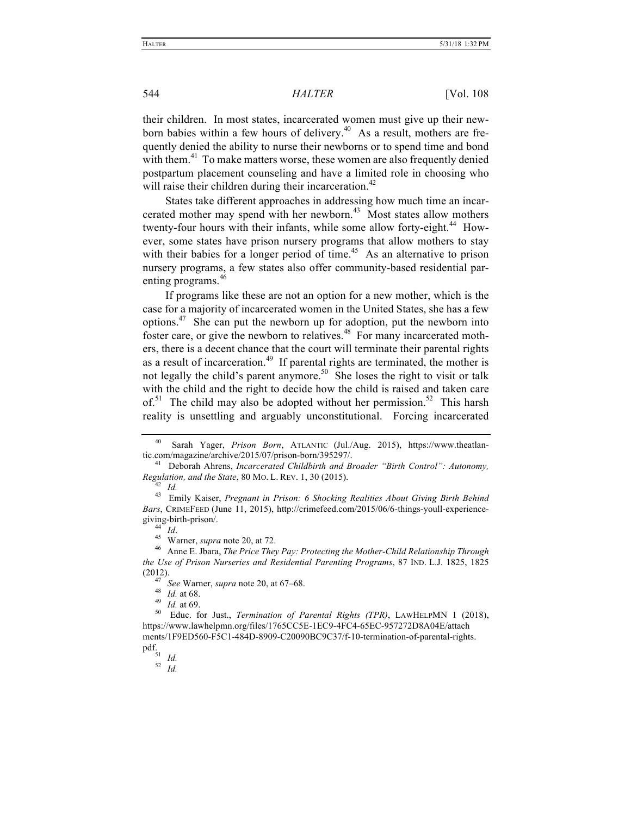their children. In most states, incarcerated women must give up their newborn babies within a few hours of delivery.<sup>40</sup> As a result, mothers are frequently denied the ability to nurse their newborns or to spend time and bond with them.<sup>41</sup> To make matters worse, these women are also frequently denied postpartum placement counseling and have a limited role in choosing who will raise their children during their incarceration.<sup>42</sup>

States take different approaches in addressing how much time an incarcerated mother may spend with her newborn. $43$  Most states allow mothers twenty-four hours with their infants, while some allow forty-eight.<sup>44</sup> However, some states have prison nursery programs that allow mothers to stay with their babies for a longer period of time.<sup>45</sup> As an alternative to prison nursery programs, a few states also offer community-based residential parenting programs.<sup>46</sup>

If programs like these are not an option for a new mother, which is the case for a majority of incarcerated women in the United States, she has a few options.47 She can put the newborn up for adoption, put the newborn into foster care, or give the newborn to relatives.<sup>48</sup> For many incarcerated mothers, there is a decent chance that the court will terminate their parental rights as a result of incarceration.<sup>49</sup> If parental rights are terminated, the mother is not legally the child's parent anymore.<sup>50</sup> She loses the right to visit or talk with the child and the right to decide how the child is raised and taken care of.<sup>51</sup> The child may also be adopted without her permission.<sup>52</sup> This harsh reality is unsettling and arguably unconstitutional. Forcing incarcerated

Sarah Yager, *Prison Born*, ATLANTIC (Jul./Aug. 2015), https://www.theatlantic.com/magazine/archive/2015/07/prison-born/395297/. <sup>41</sup> Deborah Ahrens, *Incarcerated Childbirth and Broader "Birth Control": Autonomy,* 

*Regulation, and the State*, 80 MO. L. REV. 1, 30 (2015). <sup>42</sup> *Id.* <sup>43</sup> Emily Kaiser, *Pregnant in Prison: 6 Shocking Realities About Giving Birth Behind* 

*Bars*, CRIMEFEED (June 11, 2015), http://crimefeed.com/2015/06/6-things-youll-experiencegiving-birth-prison/.<br><sup>44</sup> *Id.* Warner, *supra* note 20, at 72.<br><sup>46</sup> Anne E. Jbara, *The Price They Pay: Protecting the Mother-Child Relationship Through* 

*the Use of Prison Nurseries and Residential Parenting Programs*, 87 IND. L.J. 1825, 1825

<sup>(2012).&</sup>lt;br><sup>47</sup> *See* Warner, *supra* note 20, at 67–68.<br><sup>48</sup> *Id.* at 68.<br><sup>49</sup> *Id.* at 69.<br>50 Educ. for Just., *Termination of Parental Rights (TPR)*, LAWHELPMN 1 (2018), https://www.lawhelpmn.org/files/1765CC5E-1EC9-4FC4-65EC-957272D8A04E/attach ments/1F9ED560-F5C1-484D-8909-C20090BC9C37/f-10-termination-of-parental-rights. pdf. 51 *Id.* <sup>52</sup> *Id.*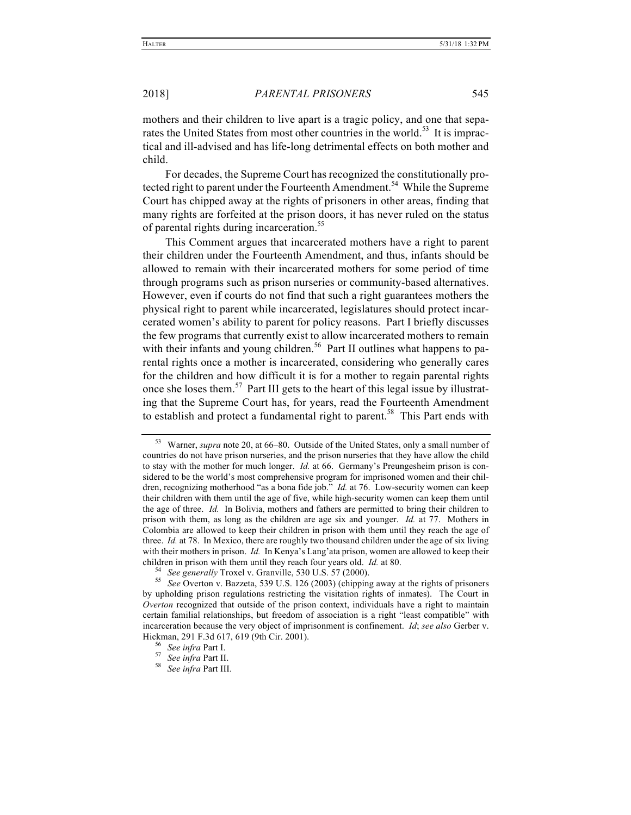mothers and their children to live apart is a tragic policy, and one that separates the United States from most other countries in the world.<sup>53</sup> It is impractical and ill-advised and has life-long detrimental effects on both mother and child.

For decades, the Supreme Court has recognized the constitutionally protected right to parent under the Fourteenth Amendment.<sup>54</sup> While the Supreme Court has chipped away at the rights of prisoners in other areas, finding that many rights are forfeited at the prison doors, it has never ruled on the status of parental rights during incarceration.<sup>55</sup>

This Comment argues that incarcerated mothers have a right to parent their children under the Fourteenth Amendment, and thus, infants should be allowed to remain with their incarcerated mothers for some period of time through programs such as prison nurseries or community-based alternatives. However, even if courts do not find that such a right guarantees mothers the physical right to parent while incarcerated, legislatures should protect incarcerated women's ability to parent for policy reasons. Part I briefly discusses the few programs that currently exist to allow incarcerated mothers to remain with their infants and young children.<sup>56</sup> Part II outlines what happens to parental rights once a mother is incarcerated, considering who generally cares for the children and how difficult it is for a mother to regain parental rights once she loses them.<sup>57</sup> Part III gets to the heart of this legal issue by illustrating that the Supreme Court has, for years, read the Fourteenth Amendment to establish and protect a fundamental right to parent.<sup>58</sup> This Part ends with

<sup>53</sup> Warner, *supra* note 20, at 66–80. Outside of the United States, only a small number of countries do not have prison nurseries, and the prison nurseries that they have allow the child to stay with the mother for much longer. *Id.* at 66. Germany's Preungesheim prison is considered to be the world's most comprehensive program for imprisoned women and their children, recognizing motherhood "as a bona fide job." *Id.* at 76. Low-security women can keep their children with them until the age of five, while high-security women can keep them until the age of three. *Id.* In Bolivia, mothers and fathers are permitted to bring their children to prison with them, as long as the children are age six and younger. *Id.* at 77. Mothers in Colombia are allowed to keep their children in prison with them until they reach the age of three. *Id.* at 78. In Mexico, there are roughly two thousand children under the age of six living with their mothers in prison. *Id.* In Kenya's Lang'ata prison, women are allowed to keep their children in prison with them until they reach four years old. *Id.* at 80.<br><sup>54</sup> See generally Troxel v. Granville, 530 U.S. 57 (2000).<br><sup>55</sup> See Overton v. Bazzeta, 539 U.S. 126 (2003) (chipping away at the rights of prison

by upholding prison regulations restricting the visitation rights of inmates). The Court in *Overton* recognized that outside of the prison context, individuals have a right to maintain certain familial relationships, but freedom of association is a right "least compatible" with incarceration because the very object of imprisonment is confinement. *Id*; *see also* Gerber v. Hickman, 291 F.3d 617, 619 (9th Cir. 2001). <sup>56</sup> *See infra* Part I. 57 *See infra* Part II. 58 *See infra* Part III.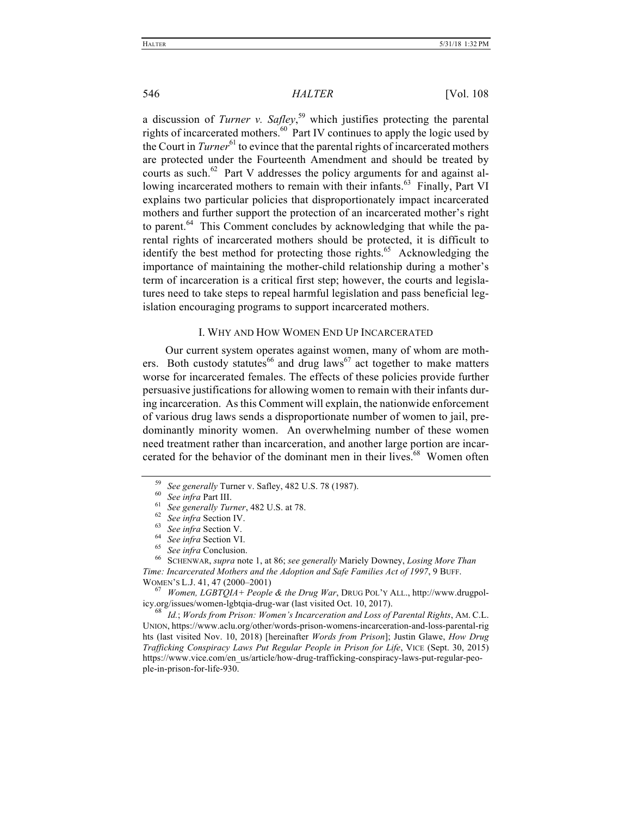a discussion of *Turner v. Safley*, <sup>59</sup> which justifies protecting the parental rights of incarcerated mothers.<sup>60</sup> Part IV continues to apply the logic used by the Court in *Turner*<sup>61</sup> to evince that the parental rights of incarcerated mothers are protected under the Fourteenth Amendment and should be treated by courts as such.<sup>62</sup> Part V addresses the policy arguments for and against allowing incarcerated mothers to remain with their infants.<sup>63</sup> Finally, Part VI explains two particular policies that disproportionately impact incarcerated mothers and further support the protection of an incarcerated mother's right to parent. $64$  This Comment concludes by acknowledging that while the parental rights of incarcerated mothers should be protected, it is difficult to identify the best method for protecting those rights.<sup>65</sup> Acknowledging the importance of maintaining the mother-child relationship during a mother's term of incarceration is a critical first step; however, the courts and legislatures need to take steps to repeal harmful legislation and pass beneficial legislation encouraging programs to support incarcerated mothers.

#### I. WHY AND HOW WOMEN END UP INCARCERATED

Our current system operates against women, many of whom are mothers. Both custody statutes<sup>66</sup> and drug laws<sup>67</sup> act together to make matters worse for incarcerated females. The effects of these policies provide further persuasive justifications for allowing women to remain with their infants during incarceration. As this Comment will explain, the nationwide enforcement of various drug laws sends a disproportionate number of women to jail, predominantly minority women. An overwhelming number of these women need treatment rather than incarceration, and another large portion are incarcerated for the behavior of the dominant men in their lives.<sup>68</sup> Women often

- 
- 

<sup>59</sup> See generally Turner v. Safley, 482 U.S. 78 (1987).<br>
<sup>60</sup> See infra Part III.<br>
<sup>61</sup> See generally Turner, 482 U.S. at 78.<br>
<sup>62</sup> See infra Section IV.<br>
<sup>63</sup> See infra Section V.<br>
<sup>64</sup> See infra Section VI.<br>
<sup>65</sup> See i *Time: Incarcerated Mothers and the Adoption and Safe Families Act of 1997*, 9 BUFF. WOMEN'S L.J. 41, 47 (2000–2001) <sup>67</sup> *Women, LGBTQIA+ People & the Drug War*, DRUG POL'Y ALL., http://www.drugpol-

icy.org/issues/women-lgbtqia-drug-war (last visited Oct. 10, 2017). <sup>68</sup> *Id.*; *Words from Prison: Women's Incarceration and Loss of Parental Rights*, AM. C.L.

UNION, https://www.aclu.org/other/words-prison-womens-incarceration-and-loss-parental-rig hts (last visited Nov. 10, 2018) [hereinafter *Words from Prison*]; Justin Glawe, *How Drug Trafficking Conspiracy Laws Put Regular People in Prison for Life*, VICE (Sept. 30, 2015) https://www.vice.com/en\_us/article/how-drug-trafficking-conspiracy-laws-put-regular-people-in-prison-for-life-930.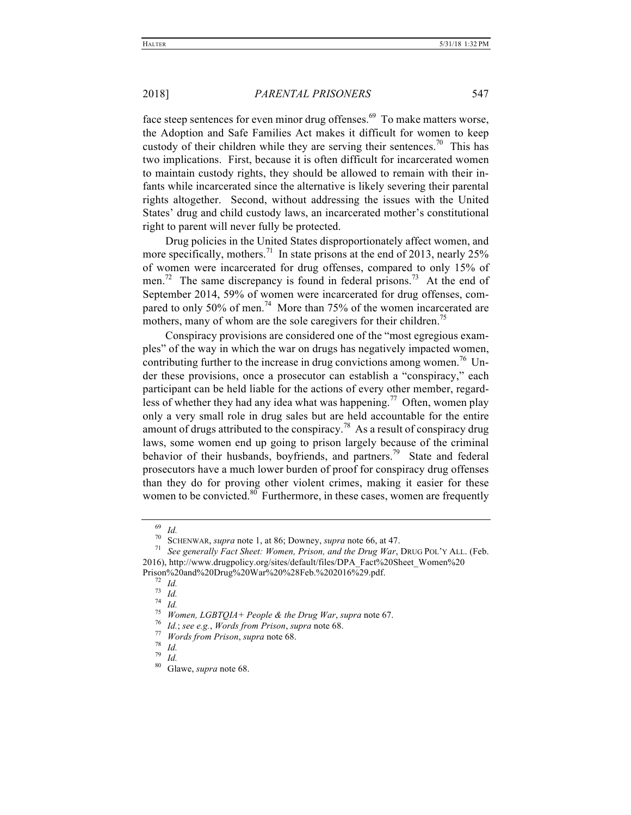face steep sentences for even minor drug offenses. $69$  To make matters worse, the Adoption and Safe Families Act makes it difficult for women to keep custody of their children while they are serving their sentences.<sup>70</sup> This has two implications. First, because it is often difficult for incarcerated women to maintain custody rights, they should be allowed to remain with their infants while incarcerated since the alternative is likely severing their parental rights altogether. Second, without addressing the issues with the United States' drug and child custody laws, an incarcerated mother's constitutional right to parent will never fully be protected.

Drug policies in the United States disproportionately affect women, and more specifically, mothers.<sup>71</sup> In state prisons at the end of 2013, nearly 25% of women were incarcerated for drug offenses, compared to only 15% of men.<sup>72</sup> The same discrepancy is found in federal prisons.<sup>73</sup> At the end of September 2014, 59% of women were incarcerated for drug offenses, compared to only 50% of men.<sup>74</sup> More than 75% of the women incarcerated are mothers, many of whom are the sole caregivers for their children.<sup>75</sup>

Conspiracy provisions are considered one of the "most egregious examples" of the way in which the war on drugs has negatively impacted women, contributing further to the increase in drug convictions among women.<sup>76</sup> Under these provisions, once a prosecutor can establish a "conspiracy," each participant can be held liable for the actions of every other member, regardless of whether they had any idea what was happening.<sup>77</sup> Often, women play only a very small role in drug sales but are held accountable for the entire amount of drugs attributed to the conspiracy.<sup>78</sup> As a result of conspiracy drug laws, some women end up going to prison largely because of the criminal behavior of their husbands, boyfriends, and partners.<sup>79</sup> State and federal prosecutors have a much lower burden of proof for conspiracy drug offenses than they do for proving other violent crimes, making it easier for these women to be convicted. $80$  Furthermore, in these cases, women are frequently

<sup>69</sup> *Id.* <sup>70</sup> SCHENWAR, *supra* note 1, at 86; Downey, *supra* note 66, at 47. <sup>71</sup> *See generally Fact Sheet: Women, Prison, and the Drug War*, DRUG POL'Y ALL. (Feb. 2016), http://www.drugpolicy.org/sites/default/files/DPA\_Fact%20Sheet\_Women%20

Prison%20and%20Drug%20War%20%28Feb.%202016%29.pdf.<br>
<sup>72</sup> Id.<br>
<sup>73</sup> Id.<br>
<sup>74</sup> Id.<br>
<sup>74</sup> Id.<br>
<sup>75</sup> Women, LGBTQIA+ People & the Drug War, supra note 67.<br>
<sup>76</sup> Id.; see e.g., Words from Prison, supra note 68.<br>
<sup>77</sup> Words fro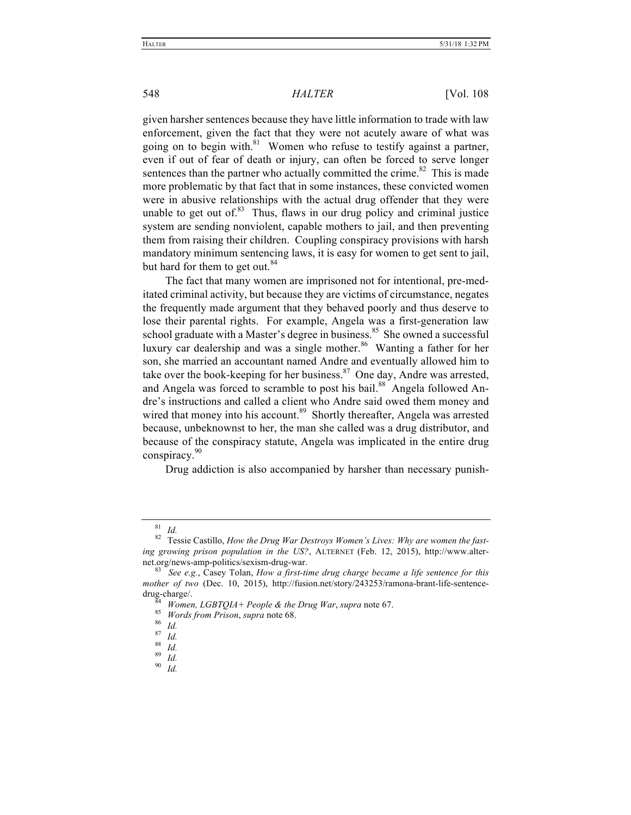given harsher sentences because they have little information to trade with law enforcement, given the fact that they were not acutely aware of what was going on to begin with. $81$  Women who refuse to testify against a partner, even if out of fear of death or injury, can often be forced to serve longer sentences than the partner who actually committed the crime. $82$  This is made more problematic by that fact that in some instances, these convicted women were in abusive relationships with the actual drug offender that they were unable to get out of. $83$  Thus, flaws in our drug policy and criminal justice system are sending nonviolent, capable mothers to jail, and then preventing them from raising their children. Coupling conspiracy provisions with harsh mandatory minimum sentencing laws, it is easy for women to get sent to jail, but hard for them to get out.<sup>84</sup>

The fact that many women are imprisoned not for intentional, pre-meditated criminal activity, but because they are victims of circumstance, negates the frequently made argument that they behaved poorly and thus deserve to lose their parental rights. For example, Angela was a first-generation law school graduate with a Master's degree in business.<sup>85</sup> She owned a successful luxury car dealership and was a single mother.<sup>86</sup> Wanting a father for her son, she married an accountant named Andre and eventually allowed him to take over the book-keeping for her business. $87$  One day, Andre was arrested, and Angela was forced to scramble to post his bail.<sup>88</sup> Angela followed Andre's instructions and called a client who Andre said owed them money and wired that money into his account.<sup>89</sup> Shortly thereafter, Angela was arrested because, unbeknownst to her, the man she called was a drug distributor, and because of the conspiracy statute, Angela was implicated in the entire drug conspiracy.<sup>90</sup>

Drug addiction is also accompanied by harsher than necessary punish-

<sup>&</sup>lt;sup>81</sup> *Id.* <br><sup>82</sup> Tessie Castillo, *How the Drug War Destroys Women's Lives: Why are women the fasting growing prison population in the US?*, ALTERNET (Feb. 12, 2015), http://www.alternet.org/news-amp-politics/sexism-drug-war. 83 *See e.g.*, Casey Tolan, *How a first-time drug charge became a life sentence for this* 

*mother of two* (Dec. 10, 2015), http://fusion.net/story/243253/ramona-brant-life-sentencedrug-charge/.<br><sup>84</sup> *Women, LGBTQIA+ People & the Drug War*, *supra* note 67.<br><sup>85</sup> *Words from Prison*, *supra* note 68.<br><sup>86</sup> *Id.* <sup>87</sup> *Id.* <sup>89</sup> *Id.* <sup>90</sup> *Id.*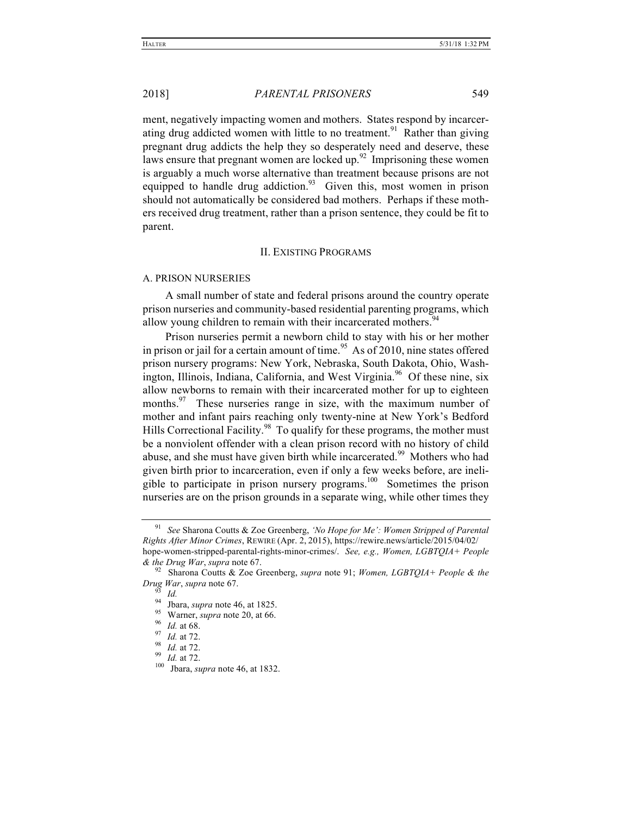ment, negatively impacting women and mothers. States respond by incarcerating drug addicted women with little to no treatment.<sup>91</sup> Rather than giving pregnant drug addicts the help they so desperately need and deserve, these laws ensure that pregnant women are locked up. $^{92}$  Imprisoning these women is arguably a much worse alternative than treatment because prisons are not equipped to handle drug addiction.<sup>93</sup> Given this, most women in prison should not automatically be considered bad mothers. Perhaps if these mothers received drug treatment, rather than a prison sentence, they could be fit to parent.

#### II. EXISTING PROGRAMS

#### A. PRISON NURSERIES

A small number of state and federal prisons around the country operate prison nurseries and community-based residential parenting programs, which allow young children to remain with their incarcerated mothers.<sup>94</sup>

Prison nurseries permit a newborn child to stay with his or her mother in prison or jail for a certain amount of time.<sup>95</sup> As of 2010, nine states offered prison nursery programs: New York, Nebraska, South Dakota, Ohio, Washington, Illinois, Indiana, California, and West Virginia.<sup>96</sup> Of these nine, six allow newborns to remain with their incarcerated mother for up to eighteen months.<sup>97</sup> These nurseries range in size, with the maximum number of mother and infant pairs reaching only twenty-nine at New York's Bedford Hills Correctional Facility.<sup>98</sup> To qualify for these programs, the mother must be a nonviolent offender with a clean prison record with no history of child abuse, and she must have given birth while incarcerated.<sup>99</sup> Mothers who had given birth prior to incarceration, even if only a few weeks before, are ineligible to participate in prison nursery programs.<sup>100</sup> Sometimes the prison nurseries are on the prison grounds in a separate wing, while other times they

<sup>91</sup> *See* Sharona Coutts & Zoe Greenberg, *'No Hope for Me': Women Stripped of Parental Rights After Minor Crimes*, REWIRE (Apr. 2, 2015), https://rewire.news/article/2015/04/02/ hope-women-stripped-parental-rights-minor-crimes/. *See, e.g., Women, LGBTQIA+ People & the Drug War*, *supra* note 67. <sup>92</sup> Sharona Coutts & Zoe Greenberg, *supra* note 91; *Women, LGBTQIA+ People & the* 

Drug War, supra note 67.<br>
<sup>93</sup> Id.<br>
<sup>94</sup> Jbara, supra note 46, at 1825.<br>
<sup>95</sup> Warner, supra note 20, at 66.<br>
<sup>96</sup> Id. at 68.<br>
<sup>97</sup> Id. at 72.<br>
<sup>98</sup> Id. at 72.<br>
<sup>99</sup> Id. at 72.<br>
<sup>99</sup> Id. at 72.<br>
<sup>99</sup> Id. at 72.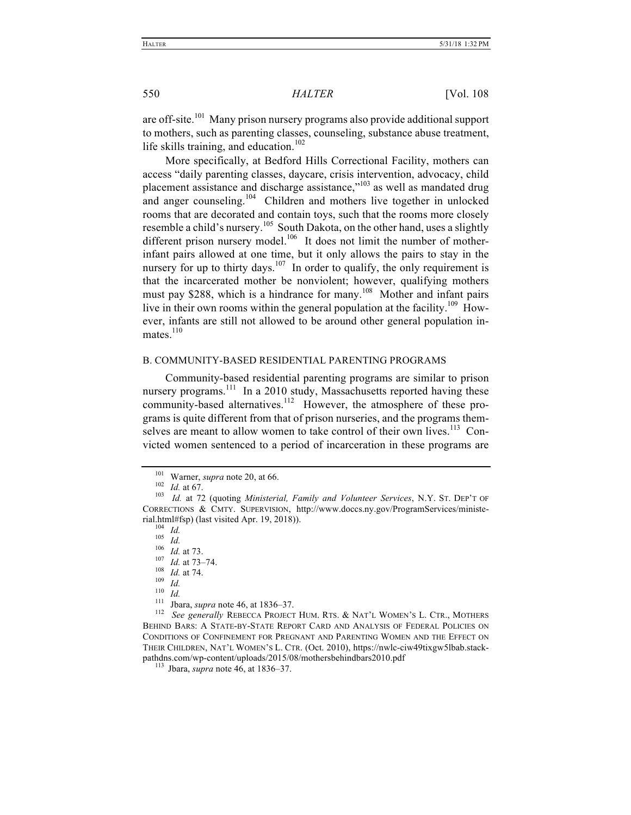are off-site.101 Many prison nursery programs also provide additional support to mothers, such as parenting classes, counseling, substance abuse treatment, life skills training, and education.<sup>102</sup>

More specifically, at Bedford Hills Correctional Facility, mothers can access "daily parenting classes, daycare, crisis intervention, advocacy, child placement assistance and discharge assistance,"<sup>103</sup> as well as mandated drug and anger counseling.<sup>104</sup> Children and mothers live together in unlocked rooms that are decorated and contain toys, such that the rooms more closely resemble a child's nursery.<sup>105</sup> South Dakota, on the other hand, uses a slightly different prison nursery model.<sup>106</sup> It does not limit the number of motherinfant pairs allowed at one time, but it only allows the pairs to stay in the nursery for up to thirty days.<sup>107</sup> In order to qualify, the only requirement is that the incarcerated mother be nonviolent; however, qualifying mothers must pay \$288, which is a hindrance for many.<sup>108</sup> Mother and infant pairs live in their own rooms within the general population at the facility.<sup>109</sup> However, infants are still not allowed to be around other general population inmates $^{110}$ 

#### B. COMMUNITY-BASED RESIDENTIAL PARENTING PROGRAMS

Community-based residential parenting programs are similar to prison nursery programs.<sup>111</sup> In a 2010 study, Massachusetts reported having these community-based alternatives.112 However, the atmosphere of these programs is quite different from that of prison nurseries, and the programs themselves are meant to allow women to take control of their own lives.<sup>113</sup> Convicted women sentenced to a period of incarceration in these programs are

BEHIND BARS: A STATE-BY-STATE REPORT CARD AND ANALYSIS OF FEDERAL POLICIES ON CONDITIONS OF CONFINEMENT FOR PREGNANT AND PARENTING WOMEN AND THE EFFECT ON THEIR CHILDREN, NAT'L WOMEN'S L. CTR. (Oct. 2010), https://nwlc-ciw49tixgw5lbab.stackpathdns.com/wp-content/uploads/2015/08/mothersbehindbars2010.pdf <sup>113</sup> Jbara, *supra* note 46, at 1836–37.

<sup>101</sup> Warner, *supra* note 20, at 66.<br>
<sup>102</sup> *Id.* at 67.<br>
<sup>103</sup> *Id.* at 72 (quoting *Ministerial, Family and Volunteer Services*, N.Y. ST. DEP'T OF CORRECTIONS & CMTY. SUPERVISION, http://www.doccs.ny.gov/ProgramServices/ministerial.html#fsp) (last visited Apr. 19, 2018)).<br>
<sup>104</sup> *Id.*<br>
<sup>105</sup> *Id.*<br>
<sup>106</sup> *Id.* at 73.<br>
<sup>107</sup> *Id.* at 73–74.<br>
<sup>108</sup> *Id.* at 74.<br>
<sup>109</sup> *Id.*<br>
<sup>109</sup> *Id.*<br>
<sup>110</sup> *Id.*<br>
<sup>110</sup> *Id.*<br>
<sup>110</sup> *Id.*<br>
<sup>111</sup> Jbara, *supra*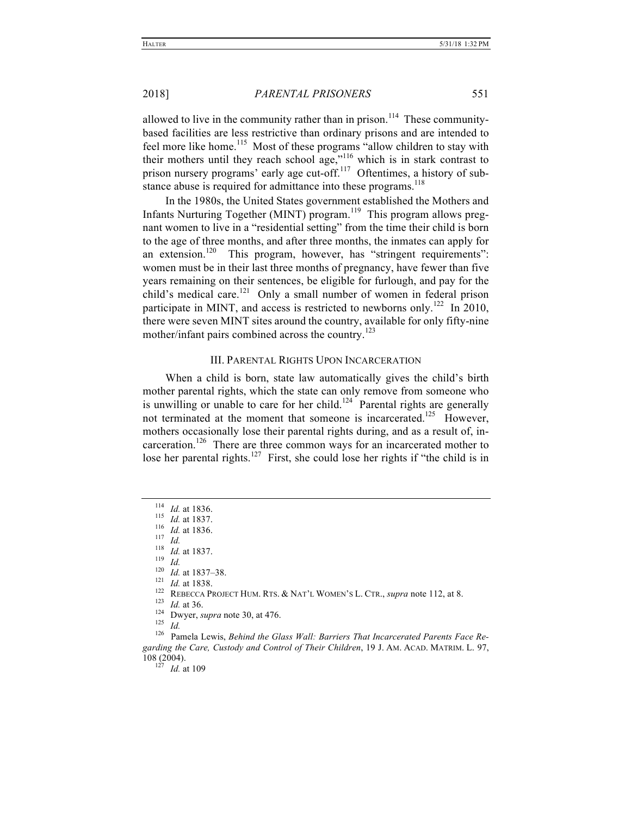allowed to live in the community rather than in prison.<sup>114</sup> These communitybased facilities are less restrictive than ordinary prisons and are intended to feel more like home.<sup>115</sup> Most of these programs "allow children to stay with their mothers until they reach school age,"<sup>116</sup> which is in stark contrast to prison nursery programs' early age cut-off.<sup>117</sup> Oftentimes, a history of substance abuse is required for admittance into these programs.<sup>118</sup>

In the 1980s, the United States government established the Mothers and Infants Nurturing Together (MINT) program.<sup>119</sup> This program allows pregnant women to live in a "residential setting" from the time their child is born to the age of three months, and after three months, the inmates can apply for an extension.<sup>120</sup> This program, however, has "stringent requirements": women must be in their last three months of pregnancy, have fewer than five years remaining on their sentences, be eligible for furlough, and pay for the child's medical care.<sup>121</sup> Only a small number of women in federal prison participate in MINT, and access is restricted to newborns only.<sup>122</sup> In 2010, there were seven MINT sites around the country, available for only fifty-nine mother/infant pairs combined across the country. 123

#### III. PARENTAL RIGHTS UPON INCARCERATION

When a child is born, state law automatically gives the child's birth mother parental rights, which the state can only remove from someone who is unwilling or unable to care for her child.<sup>124</sup> Parental rights are generally not terminated at the moment that someone is incarcerated.<sup>125</sup> However, mothers occasionally lose their parental rights during, and as a result of, incarceration.<sup>126</sup> There are three common ways for an incarcerated mother to lose her parental rights.<sup>127</sup> First, she could lose her rights if "the child is in

<sup>&</sup>lt;sup>114</sup> *Id.* at 1836.<br>
<sup>115</sup> *Id.* at 1837.<br>
<sup>117</sup> *Id.*<br>
<sup>117</sup> *Id.*<br>
<sup>119</sup> *Id.*<br>
<sup>119</sup> *Id.*<br>
<sup>119</sup> *Id.*<br>
<sup>120</sup> *Id.*<br>
<sup>121</sup> *Id.*<br>
<sup>121</sup> *Id.* at 1838.<br>
<sup>122</sup> REBECCA PROJECT HUM. RTS. & NAT'L WOMEN'S L. CTR., *supra* 

*garding the Care, Custody and Control of Their Children*, 19 J. AM. ACAD. MATRIM. L. 97, 108 (2004). 127 *Id.* at 109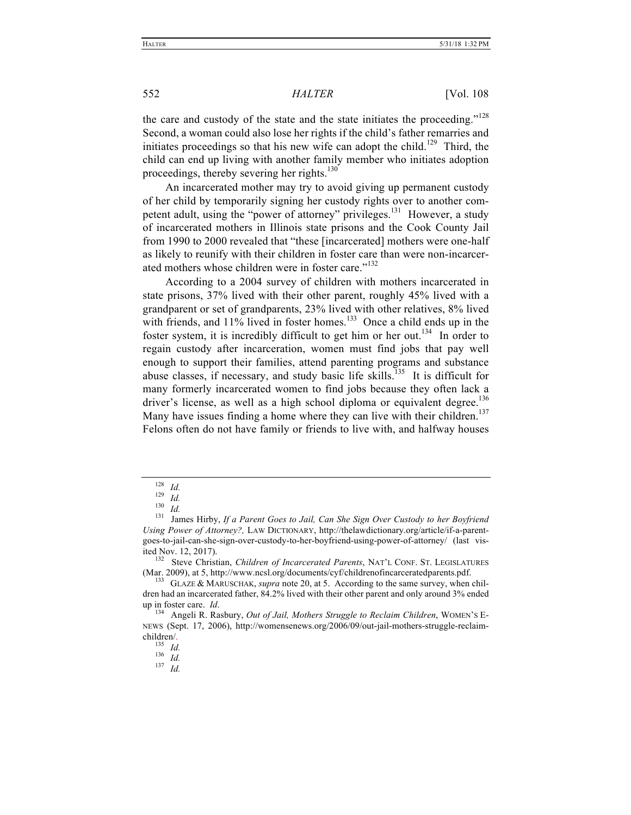the care and custody of the state and the state initiates the proceeding."<sup>128</sup> Second, a woman could also lose her rights if the child's father remarries and initiates proceedings so that his new wife can adopt the child.<sup>129</sup> Third, the child can end up living with another family member who initiates adoption proceedings, thereby severing her rights.<sup>130</sup>

An incarcerated mother may try to avoid giving up permanent custody of her child by temporarily signing her custody rights over to another competent adult, using the "power of attorney" privileges.<sup>131</sup> However, a study of incarcerated mothers in Illinois state prisons and the Cook County Jail from 1990 to 2000 revealed that "these [incarcerated] mothers were one-half as likely to reunify with their children in foster care than were non-incarcerated mothers whose children were in foster care."<sup>132</sup>

According to a 2004 survey of children with mothers incarcerated in state prisons, 37% lived with their other parent, roughly 45% lived with a grandparent or set of grandparents, 23% lived with other relatives, 8% lived with friends, and 11% lived in foster homes.<sup>133</sup> Once a child ends up in the foster system, it is incredibly difficult to get him or her out.<sup>134</sup> In order to regain custody after incarceration, women must find jobs that pay well enough to support their families, attend parenting programs and substance abuse classes, if necessary, and study basic life skills.<sup>135</sup> It is difficult for many formerly incarcerated women to find jobs because they often lack a driver's license, as well as a high school diploma or equivalent degree.<sup>136</sup> Many have issues finding a home where they can live with their children.<sup>137</sup> Felons often do not have family or friends to live with, and halfway houses

<sup>128</sup> *Id.*<br><sup>129</sup> *Id.*<br><sup>130</sup> *Id.* **130** *Id.* **131 James Hirby,** *If a Parent Goes to Jail, Can She Sign Over Custody to her Boyfriend Using Power of Attorney?,* LAW DICTIONARY, http://thelawdictionary.org/article/if-a-parentgoes-to-jail-can-she-sign-over-custody-to-her-boyfriend-using-power-of-attorney/ (last visited Nov. 12, 2017).<br><sup>132</sup> Steve Christian, *Children of Incarcerated Parents*, NAT'L CONF. ST. LEGISLATURES

<sup>(</sup>Mar. 2009), at 5, http://www.ncsl.org/documents/cyf/childrenofincarceratedparents.pdf. 133 GLAZE & MARUSCHAK, *supra* note 20, at 5. According to the same survey, when chil-

dren had an incarcerated father, 84.2% lived with their other parent and only around 3% ended

up in foster care. *Id*. <sup>134</sup> Angeli R. Rasbury, *Out of Jail, Mothers Struggle to Reclaim Children*, WOMEN'S E-NEWS (Sept. 17, 2006), http://womensenews.org/2006/09/out-jail-mothers-struggle-reclaimchildren/. 135 *Id.* 136 *Id.* 137 *Id.*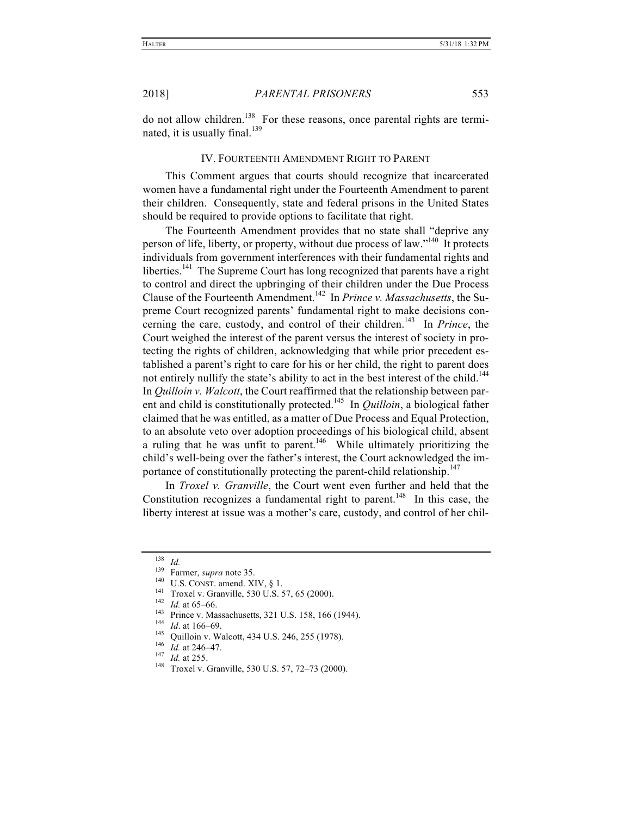do not allow children.138 For these reasons, once parental rights are terminated, it is usually final. $139$ 

#### IV. FOURTEENTH AMENDMENT RIGHT TO PARENT

This Comment argues that courts should recognize that incarcerated women have a fundamental right under the Fourteenth Amendment to parent their children. Consequently, state and federal prisons in the United States should be required to provide options to facilitate that right.

The Fourteenth Amendment provides that no state shall "deprive any person of life, liberty, or property, without due process of law."<sup>140</sup> It protects individuals from government interferences with their fundamental rights and liberties.<sup>141</sup> The Supreme Court has long recognized that parents have a right to control and direct the upbringing of their children under the Due Process Clause of the Fourteenth Amendment.142 In *Prince v. Massachusetts*, the Supreme Court recognized parents' fundamental right to make decisions concerning the care, custody, and control of their children.<sup>143</sup> In *Prince*, the Court weighed the interest of the parent versus the interest of society in protecting the rights of children, acknowledging that while prior precedent established a parent's right to care for his or her child, the right to parent does not entirely nullify the state's ability to act in the best interest of the child.<sup>144</sup> In *Quilloin v. Walcott*, the Court reaffirmed that the relationship between parent and child is constitutionally protected.<sup>145</sup> In *Quilloin*, a biological father claimed that he was entitled, as a matter of Due Process and Equal Protection, to an absolute veto over adoption proceedings of his biological child, absent a ruling that he was unfit to parent.<sup>146</sup> While ultimately prioritizing the child's well-being over the father's interest, the Court acknowledged the importance of constitutionally protecting the parent-child relationship.<sup>147</sup>

In *Troxel v. Granville*, the Court went even further and held that the Constitution recognizes a fundamental right to parent.<sup>148</sup> In this case, the liberty interest at issue was a mother's care, custody, and control of her chil-

<sup>&</sup>lt;sup>138</sup> *Id.*<br>
<sup>139</sup> Farmer, *supra* note 35.<br>
<sup>140</sup> U.S. Const. amend. XIV, § 1.<br>
<sup>141</sup> Troxel v. Granville, 530 U.S. 57, 65 (2000).<br>
<sup>142</sup> *Id.* at 65–66.<br>
<sup>143</sup> Prince v. Massachusetts, 321 U.S. 158, 166 (1944).<br>
<sup>144</sup>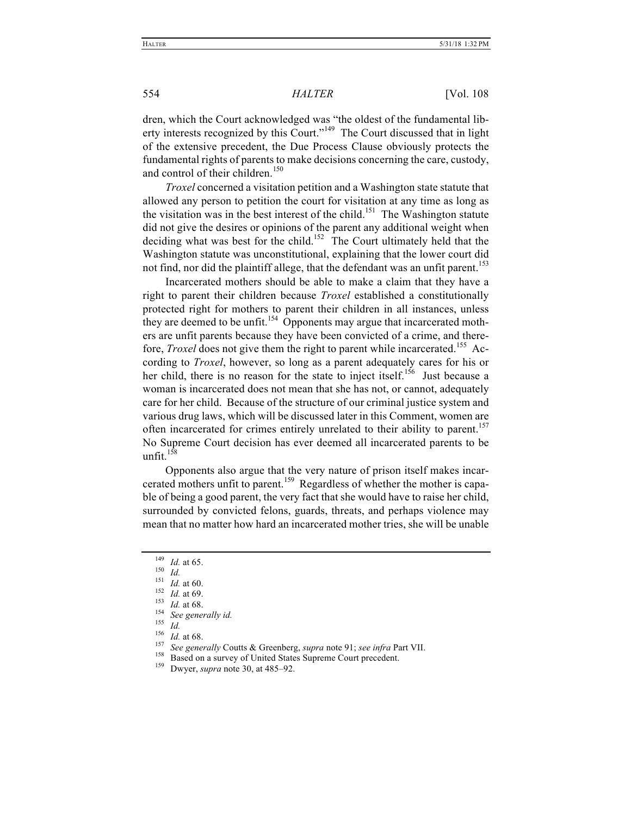dren, which the Court acknowledged was "the oldest of the fundamental liberty interests recognized by this Court."149 The Court discussed that in light of the extensive precedent, the Due Process Clause obviously protects the fundamental rights of parents to make decisions concerning the care, custody, and control of their children.<sup>150</sup>

*Troxel* concerned a visitation petition and a Washington state statute that allowed any person to petition the court for visitation at any time as long as the visitation was in the best interest of the child.<sup>151</sup> The Washington statute did not give the desires or opinions of the parent any additional weight when deciding what was best for the child.<sup>152</sup> The Court ultimately held that the Washington statute was unconstitutional, explaining that the lower court did not find, nor did the plaintiff allege, that the defendant was an unfit parent.<sup>153</sup>

Incarcerated mothers should be able to make a claim that they have a right to parent their children because *Troxel* established a constitutionally protected right for mothers to parent their children in all instances, unless they are deemed to be unfit.<sup>154</sup> Opponents may argue that incarcerated mothers are unfit parents because they have been convicted of a crime, and therefore, *Troxel* does not give them the right to parent while incarcerated.<sup>155</sup> According to *Troxel*, however, so long as a parent adequately cares for his or her child, there is no reason for the state to inject itself.<sup>156</sup> Just because a woman is incarcerated does not mean that she has not, or cannot, adequately care for her child. Because of the structure of our criminal justice system and various drug laws, which will be discussed later in this Comment, women are often incarcerated for crimes entirely unrelated to their ability to parent.<sup>157</sup> No Supreme Court decision has ever deemed all incarcerated parents to be unfit. $158$ 

Opponents also argue that the very nature of prison itself makes incarcerated mothers unfit to parent.159 Regardless of whether the mother is capable of being a good parent, the very fact that she would have to raise her child, surrounded by convicted felons, guards, threats, and perhaps violence may mean that no matter how hard an incarcerated mother tries, she will be unable

<sup>&</sup>lt;sup>149</sup> *Id.* at 65.<br>
<sup>151</sup> *Id.* at 60.<br>
<sup>151</sup> *Id.* at 60.<br>
<sup>152</sup> *Id.* at 68.<br>
<sup>153</sup> *Id.* at 68.<br>
<sup>155</sup> *Id.* at 68.<br>
<sup>155</sup> *Id.* at 68.<br>
<sup>156</sup> *Id.* at 68.<br>
<sup>156</sup> *Id.* at 68.<br>
<sup>157</sup> *See generally* Coutts & Greenberg,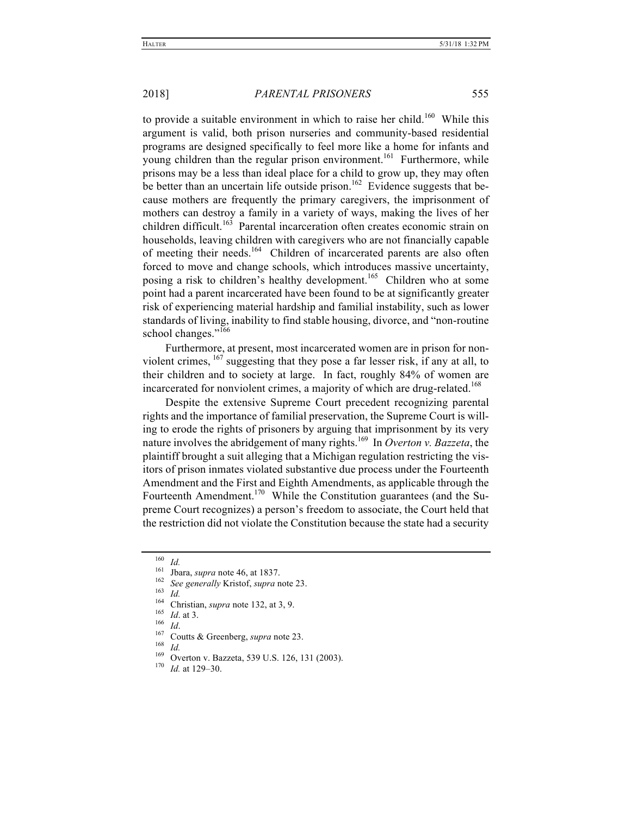to provide a suitable environment in which to raise her child.<sup>160</sup> While this argument is valid, both prison nurseries and community-based residential programs are designed specifically to feel more like a home for infants and young children than the regular prison environment.<sup>161</sup> Furthermore, while prisons may be a less than ideal place for a child to grow up, they may often be better than an uncertain life outside prison.<sup>162</sup> Evidence suggests that because mothers are frequently the primary caregivers, the imprisonment of mothers can destroy a family in a variety of ways, making the lives of her children difficult.<sup>163</sup> Parental incarceration often creates economic strain on households, leaving children with caregivers who are not financially capable of meeting their needs.<sup>164</sup> Children of incarcerated parents are also often forced to move and change schools, which introduces massive uncertainty, posing a risk to children's healthy development.<sup>165</sup> Children who at some point had a parent incarcerated have been found to be at significantly greater risk of experiencing material hardship and familial instability, such as lower standards of living, inability to find stable housing, divorce, and "non-routine school changes."<sup>166</sup>

Furthermore, at present, most incarcerated women are in prison for nonviolent crimes,  $^{167}$  suggesting that they pose a far lesser risk, if any at all, to their children and to society at large. In fact, roughly 84% of women are incarcerated for nonviolent crimes, a majority of which are drug-related.<sup>168</sup>

Despite the extensive Supreme Court precedent recognizing parental rights and the importance of familial preservation, the Supreme Court is willing to erode the rights of prisoners by arguing that imprisonment by its very nature involves the abridgement of many rights.169 In *Overton v. Bazzeta*, the plaintiff brought a suit alleging that a Michigan regulation restricting the visitors of prison inmates violated substantive due process under the Fourteenth Amendment and the First and Eighth Amendments, as applicable through the Fourteenth Amendment.<sup>170</sup> While the Constitution guarantees (and the Supreme Court recognizes) a person's freedom to associate, the Court held that the restriction did not violate the Constitution because the state had a security

<sup>&</sup>lt;sup>160</sup> *Id.*<br>
<sup>161</sup> Jbara, *supra* note 46, at 1837.<br>
<sup>162</sup> *See generally* Kristof, *supra* note 23.<br>
<sup>163</sup> *Id.*<br>
<sup>164</sup> Christian, *supra* note 132, at 3, 9.<br>
<sup>165</sup> *Id.*<br>
<sup>165</sup> *Id.*<br>
<sup>166</sup> *Id.*<br>
<sup>166</sup> *Id.*<br>
<sup>166</sup> *Id*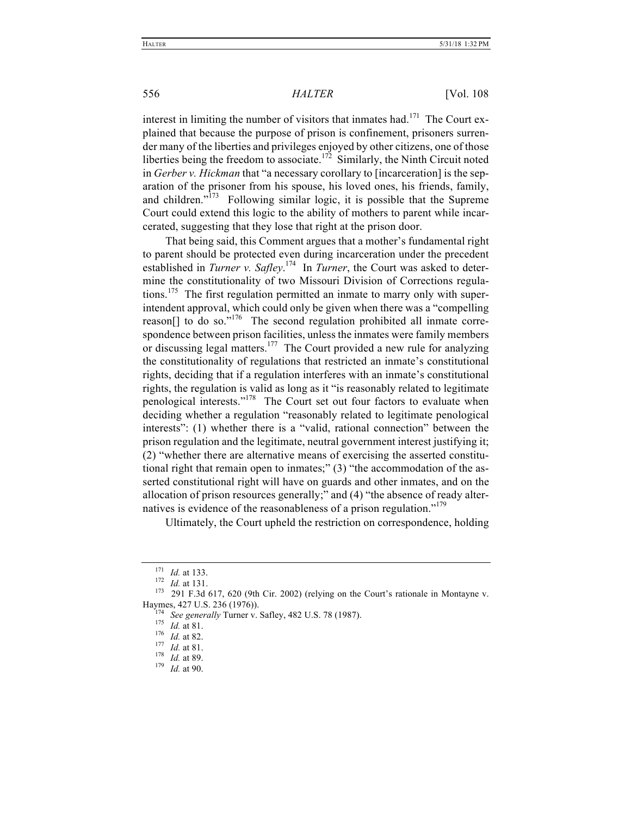interest in limiting the number of visitors that inmates had.<sup>171</sup> The Court explained that because the purpose of prison is confinement, prisoners surrender many of the liberties and privileges enjoyed by other citizens, one of those liberties being the freedom to associate.<sup>172</sup> Similarly, the Ninth Circuit noted in *Gerber v. Hickman* that "a necessary corollary to [incarceration] is the separation of the prisoner from his spouse, his loved ones, his friends, family, and children." $173$  Following similar logic, it is possible that the Supreme Court could extend this logic to the ability of mothers to parent while incarcerated, suggesting that they lose that right at the prison door.

That being said, this Comment argues that a mother's fundamental right to parent should be protected even during incarceration under the precedent established in *Turner v. Safley*.<sup>174</sup> In *Turner*, the Court was asked to determine the constitutionality of two Missouri Division of Corrections regulations.<sup>175</sup> The first regulation permitted an inmate to marry only with superintendent approval, which could only be given when there was a "compelling reason[] to do so."<sup>176</sup> The second regulation prohibited all inmate correspondence between prison facilities, unless the inmates were family members or discussing legal matters.<sup>177</sup> The Court provided a new rule for analyzing the constitutionality of regulations that restricted an inmate's constitutional rights, deciding that if a regulation interferes with an inmate's constitutional rights, the regulation is valid as long as it "is reasonably related to legitimate penological interests."178 The Court set out four factors to evaluate when deciding whether a regulation "reasonably related to legitimate penological interests": (1) whether there is a "valid, rational connection" between the prison regulation and the legitimate, neutral government interest justifying it; (2) "whether there are alternative means of exercising the asserted constitutional right that remain open to inmates;" (3) "the accommodation of the asserted constitutional right will have on guards and other inmates, and on the allocation of prison resources generally;" and (4) "the absence of ready alternatives is evidence of the reasonableness of a prison regulation."<sup>179</sup>

Ultimately, the Court upheld the restriction on correspondence, holding

<sup>171</sup> *Id.* at 133.<br><sup>172</sup> *Id.* at 131.<br><sup>173</sup> 291 F.3d 617, 620 (9th Cir. 2002) (relying on the Court's rationale in Montayne v. Haymes, 427 U.S. 236 (1976)).<br>
<sup>174</sup> *See generally* Turner v. Safley, 482 U.S. 78 (1987).<br>
<sup>175</sup> *Id.* at 81.<br>
<sup>176</sup> *Id.* at 81.<br>
<sup>178</sup> *Id.* at 89.<br>
<sup>179</sup> *Id.* at 90.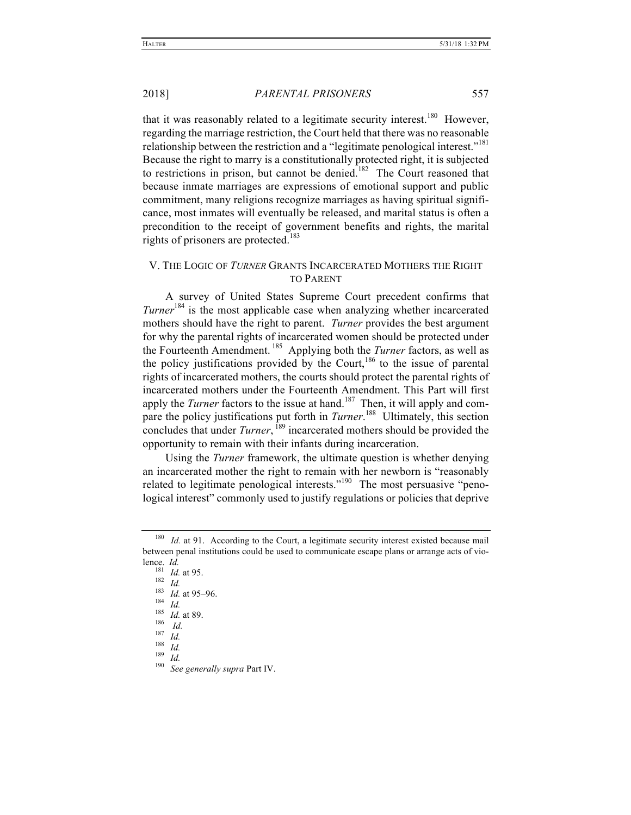that it was reasonably related to a legitimate security interest.<sup>180</sup> However, regarding the marriage restriction, the Court held that there was no reasonable relationship between the restriction and a "legitimate penological interest."<sup>181</sup> Because the right to marry is a constitutionally protected right, it is subjected to restrictions in prison, but cannot be denied.<sup>182</sup> The Court reasoned that because inmate marriages are expressions of emotional support and public commitment, many religions recognize marriages as having spiritual significance, most inmates will eventually be released, and marital status is often a precondition to the receipt of government benefits and rights, the marital rights of prisoners are protected.<sup>183</sup>

### V. THE LOGIC OF *TURNER* GRANTS INCARCERATED MOTHERS THE RIGHT TO PARENT

A survey of United States Supreme Court precedent confirms that *Turner*<sup>184</sup> is the most applicable case when analyzing whether incarcerated mothers should have the right to parent. *Turner* provides the best argument for why the parental rights of incarcerated women should be protected under the Fourteenth Amendment. <sup>185</sup> Applying both the *Turner* factors, as well as the policy justifications provided by the Court,  $186$  to the issue of parental rights of incarcerated mothers, the courts should protect the parental rights of incarcerated mothers under the Fourteenth Amendment. This Part will first apply the *Turner* factors to the issue at hand.<sup>187</sup> Then, it will apply and compare the policy justifications put forth in *Turner*. 188 Ultimately, this section concludes that under *Turner*, <sup>189</sup> incarcerated mothers should be provided the opportunity to remain with their infants during incarceration.

Using the *Turner* framework, the ultimate question is whether denying an incarcerated mother the right to remain with her newborn is "reasonably related to legitimate penological interests."<sup>190</sup> The most persuasive "penological interest" commonly used to justify regulations or policies that deprive

<sup>&</sup>lt;sup>180</sup> *Id.* at 91. According to the Court, a legitimate security interest existed because mail between penal institutions could be used to communicate escape plans or arrange acts of vio-

<sup>181</sup> *Id.* at 95.<br>
<sup>181</sup> *Id.* at 95–96.<br>
<sup>184</sup> *Id.* at 89.<br>
<sup>186</sup> *Id.* at 89.<br>
<sup>186</sup> *Id.* <sup>187</sup> *Id.* <sup>189</sup> *Id.* <sup>189</sup> *Id.* <sup>189</sup> *Id.* <sup>189</sup> *See generally supra* Part IV.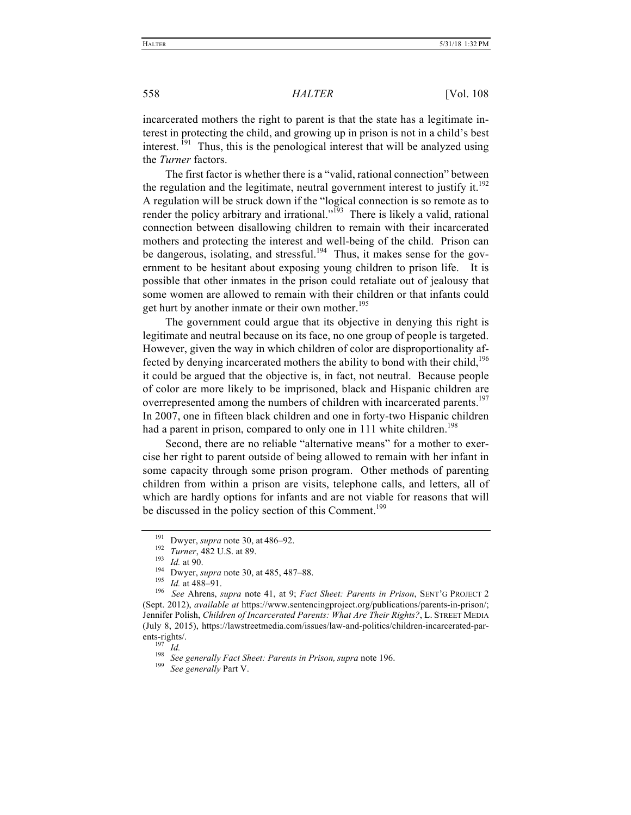incarcerated mothers the right to parent is that the state has a legitimate interest in protecting the child, and growing up in prison is not in a child's best interest.<sup>191</sup> Thus, this is the penological interest that will be analyzed using the *Turner* factors.

The first factor is whether there is a "valid, rational connection" between the regulation and the legitimate, neutral government interest to justify it.<sup>192</sup> A regulation will be struck down if the "logical connection is so remote as to render the policy arbitrary and irrational."<sup>193</sup> There is likely a valid, rational connection between disallowing children to remain with their incarcerated mothers and protecting the interest and well-being of the child. Prison can be dangerous, isolating, and stressful.<sup>194</sup> Thus, it makes sense for the government to be hesitant about exposing young children to prison life. It is possible that other inmates in the prison could retaliate out of jealousy that some women are allowed to remain with their children or that infants could get hurt by another inmate or their own mother.<sup>195</sup>

The government could argue that its objective in denying this right is legitimate and neutral because on its face, no one group of people is targeted. However, given the way in which children of color are disproportionality affected by denying incarcerated mothers the ability to bond with their child,  $196$ it could be argued that the objective is, in fact, not neutral. Because people of color are more likely to be imprisoned, black and Hispanic children are overrepresented among the numbers of children with incarcerated parents.<sup>197</sup> In 2007, one in fifteen black children and one in forty-two Hispanic children had a parent in prison, compared to only one in 111 white children.<sup>198</sup>

Second, there are no reliable "alternative means" for a mother to exercise her right to parent outside of being allowed to remain with her infant in some capacity through some prison program. Other methods of parenting children from within a prison are visits, telephone calls, and letters, all of which are hardly options for infants and are not viable for reasons that will be discussed in the policy section of this Comment.<sup>199</sup>

<sup>&</sup>lt;sup>191</sup> Dwyer, *supra* note 30, at 486–92.<br>
<sup>192</sup> Turner, 482 U.S. at 89.<br>
<sup>193</sup> Id. at 90.<br>
<sup>193</sup> Id. at 488–91.<br>
<sup>195</sup> Id. at 488–91.<br>
<sup>196</sup> See Ahrens, *supra* note 41, at 9; *Fact Sheet: Parents in Prison*, SENT'G PROJE (Sept. 2012), *available at* https://www.sentencingproject.org/publications/parents-in-prison/; Jennifer Polish, *Children of Incarcerated Parents: What Are Their Rights?*, L. STREET MEDIA (July 8, 2015), https://lawstreetmedia.com/issues/law-and-politics/children-incarcerated-parents-rights/.

<sup>197</sup> *Id.* <sup>198</sup> *See generally Fact Sheet: Parents in Prison, supra* note 196. <sup>199</sup> *See generally* Part V.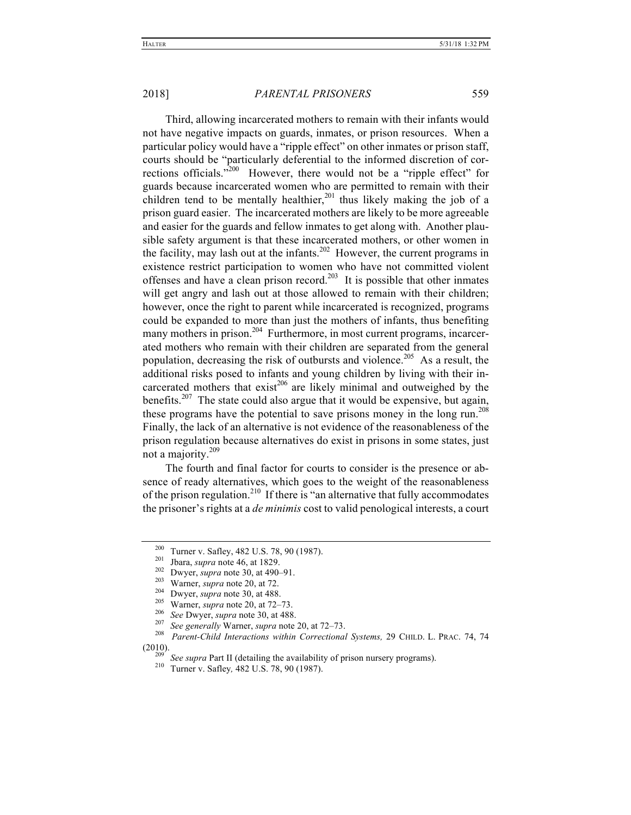Third, allowing incarcerated mothers to remain with their infants would not have negative impacts on guards, inmates, or prison resources. When a particular policy would have a "ripple effect" on other inmates or prison staff, courts should be "particularly deferential to the informed discretion of corrections officials."<sup>200</sup> However, there would not be a "ripple effect" for guards because incarcerated women who are permitted to remain with their children tend to be mentally healthier,  $201$  thus likely making the job of a prison guard easier. The incarcerated mothers are likely to be more agreeable and easier for the guards and fellow inmates to get along with. Another plausible safety argument is that these incarcerated mothers, or other women in the facility, may lash out at the infants.<sup>202</sup> However, the current programs in existence restrict participation to women who have not committed violent offenses and have a clean prison record.<sup>203</sup> It is possible that other inmates will get angry and lash out at those allowed to remain with their children; however, once the right to parent while incarcerated is recognized, programs could be expanded to more than just the mothers of infants, thus benefiting many mothers in prison.<sup>204</sup> Furthermore, in most current programs, incarcerated mothers who remain with their children are separated from the general population, decreasing the risk of outbursts and violence.<sup>205</sup> As a result, the additional risks posed to infants and young children by living with their incarcerated mothers that  $exist^{206}$  are likely minimal and outweighed by the benefits.<sup>207</sup> The state could also argue that it would be expensive, but again, these programs have the potential to save prisons money in the long run.<sup>208</sup> Finally, the lack of an alternative is not evidence of the reasonableness of the prison regulation because alternatives do exist in prisons in some states, just not a majority.<sup>209</sup>

The fourth and final factor for courts to consider is the presence or absence of ready alternatives, which goes to the weight of the reasonableness of the prison regulation.<sup>210</sup> If there is "an alternative that fully accommodates" the prisoner's rights at a *de minimis* cost to valid penological interests, a court

<sup>&</sup>lt;sup>200</sup> Turner v. Safley, 482 U.S. 78, 90 (1987).<br><sup>201</sup> Jbara, *supra* note 46, at 1829.<br><sup>202</sup> Dwyer, *supra* note 30, at 490–91.<br><sup>203</sup> Warner, *supra* note 20, at 72.<br><sup>204</sup> Dwyer, *supra* note 20, at 488.<br><sup>205</sup> Warner, *su* (2010). <sup>209</sup> *See supra* Part II (detailing the availability of prison nursery programs). 210 Turner v. Safley*,* 482 U.S. 78, 90 (1987).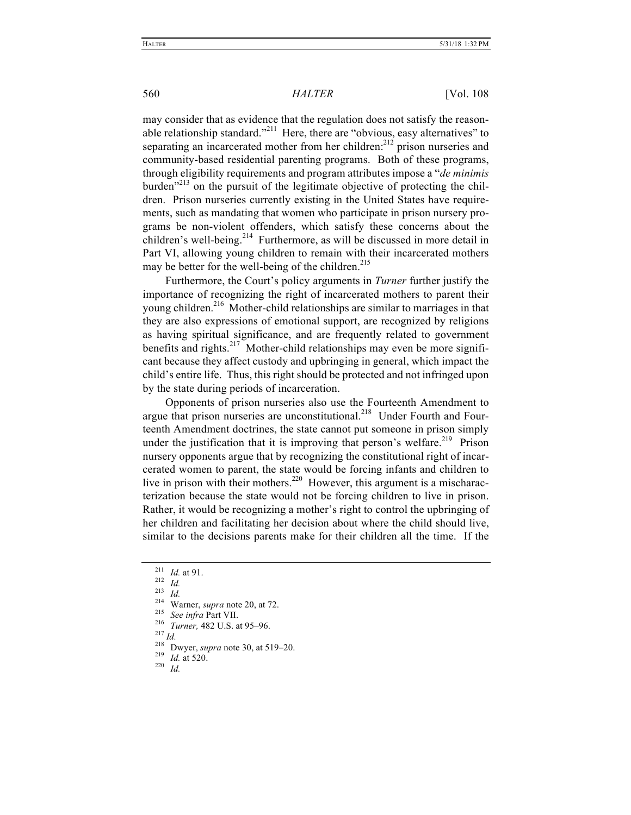may consider that as evidence that the regulation does not satisfy the reasonable relationship standard."<sup>211</sup> Here, there are "obvious, easy alternatives" to separating an incarcerated mother from her children: $^{212}$  prison nurseries and community-based residential parenting programs. Both of these programs, through eligibility requirements and program attributes impose a "*de minimis*  burden<sup>"213</sup> on the pursuit of the legitimate objective of protecting the children. Prison nurseries currently existing in the United States have requirements, such as mandating that women who participate in prison nursery programs be non-violent offenders, which satisfy these concerns about the children's well-being.<sup>214</sup> Furthermore, as will be discussed in more detail in Part VI, allowing young children to remain with their incarcerated mothers may be better for the well-being of the children.<sup>215</sup>

Furthermore, the Court's policy arguments in *Turner* further justify the importance of recognizing the right of incarcerated mothers to parent their young children.<sup>216</sup> Mother-child relationships are similar to marriages in that they are also expressions of emotional support, are recognized by religions as having spiritual significance, and are frequently related to government benefits and rights.<sup>217</sup> Mother-child relationships may even be more significant because they affect custody and upbringing in general, which impact the child's entire life. Thus, this right should be protected and not infringed upon by the state during periods of incarceration.

Opponents of prison nurseries also use the Fourteenth Amendment to argue that prison nurseries are unconstitutional.<sup>218</sup> Under Fourth and Fourteenth Amendment doctrines, the state cannot put someone in prison simply under the justification that it is improving that person's welfare.<sup>219</sup> Prison nursery opponents argue that by recognizing the constitutional right of incarcerated women to parent, the state would be forcing infants and children to live in prison with their mothers.<sup>220</sup> However, this argument is a mischaracterization because the state would not be forcing children to live in prison. Rather, it would be recognizing a mother's right to control the upbringing of her children and facilitating her decision about where the child should live, similar to the decisions parents make for their children all the time. If the

<sup>&</sup>lt;sup>211</sup> *Id.* at 91.<br>
<sup>212</sup> *Id.*<br>
<sup>213</sup> *Id.*<br>
<sup>214</sup> Warner, *supra* note 20, at 72.<br>
<sup>215</sup> *See infra* Part VII.<br>
<sup>216</sup> *Turner*, 482 U.S. at 95–96.<br>
<sup>217</sup> *Id.*<br>
<sup>218</sup> Dwyer, *supra* note 30, at 519–20.<br>
<sup>219</sup> *Id.* at 5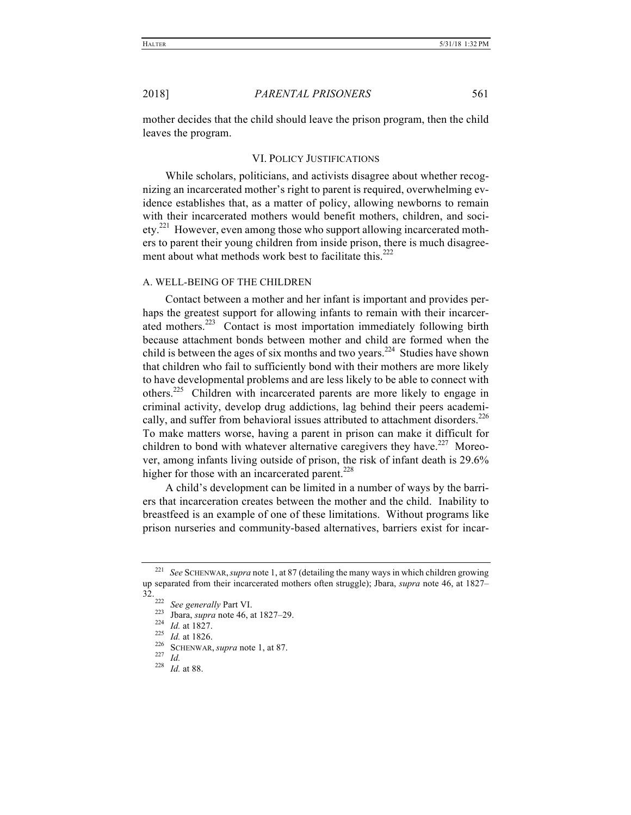mother decides that the child should leave the prison program, then the child leaves the program.

#### VI. POLICY JUSTIFICATIONS

While scholars, politicians, and activists disagree about whether recognizing an incarcerated mother's right to parent is required, overwhelming evidence establishes that, as a matter of policy, allowing newborns to remain with their incarcerated mothers would benefit mothers, children, and soci- $\text{etv.}^{221}$  However, even among those who support allowing incarcerated mothers to parent their young children from inside prison, there is much disagreement about what methods work best to facilitate this.<sup>222</sup>

#### A. WELL-BEING OF THE CHILDREN

Contact between a mother and her infant is important and provides perhaps the greatest support for allowing infants to remain with their incarcerated mothers.<sup>223</sup> Contact is most importation immediately following birth because attachment bonds between mother and child are formed when the child is between the ages of six months and two years.<sup>224</sup> Studies have shown that children who fail to sufficiently bond with their mothers are more likely to have developmental problems and are less likely to be able to connect with others.225 Children with incarcerated parents are more likely to engage in criminal activity, develop drug addictions, lag behind their peers academically, and suffer from behavioral issues attributed to attachment disorders.<sup>226</sup> To make matters worse, having a parent in prison can make it difficult for children to bond with whatever alternative caregivers they have.<sup>227</sup> Moreover, among infants living outside of prison, the risk of infant death is 29.6% higher for those with an incarcerated parent.<sup>228</sup>

A child's development can be limited in a number of ways by the barriers that incarceration creates between the mother and the child. Inability to breastfeed is an example of one of these limitations. Without programs like prison nurseries and community-based alternatives, barriers exist for incar-

<sup>221</sup> *See* SCHENWAR,*supra* note 1, at 87 (detailing the many ways in which children growing up separated from their incarcerated mothers often struggle); Jbara, *supra* note 46, at 1827–  $32.222$ 

<sup>222</sup> *See generally* Part VI.<br>
<sup>223</sup> Jbara, *supra* note 46, at 1827–29.<br>
<sup>225</sup> *Id.* at 1826.<br>
<sup>226</sup> SCHENWAR, *supra* note 1, at 87.<br>
<sup>227</sup> *Id.* <sup>228</sup> *Id.* at 88.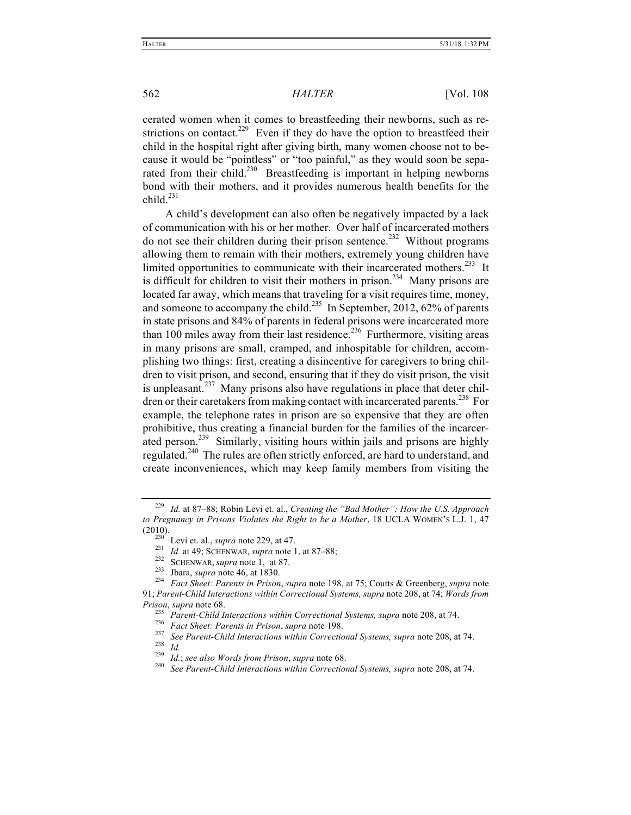cerated women when it comes to breastfeeding their newborns, such as restrictions on contact.<sup>229</sup> Even if they do have the option to breastfeed their child in the hospital right after giving birth, many women choose not to because it would be "pointless" or "too painful," as they would soon be separated from their child.<sup>230</sup> Breastfeeding is important in helping newborns bond with their mothers, and it provides numerous health benefits for the child $^{231}$ 

A child's development can also often be negatively impacted by a lack of communication with his or her mother. Over half of incarcerated mothers do not see their children during their prison sentence.<sup>232</sup> Without programs allowing them to remain with their mothers, extremely young children have limited opportunities to communicate with their incarcerated mothers.<sup>233</sup> It is difficult for children to visit their mothers in prison.<sup>234</sup> Many prisons are located far away, which means that traveling for a visit requires time, money, and someone to accompany the child.<sup>235</sup> In September, 2012, 62% of parents in state prisons and 84% of parents in federal prisons were incarcerated more than  $100$  miles away from their last residence.<sup>236</sup> Furthermore, visiting areas in many prisons are small, cramped, and inhospitable for children, accomplishing two things: first, creating a disincentive for caregivers to bring children to visit prison, and second, ensuring that if they do visit prison, the visit is unpleasant.<sup>237</sup> Many prisons also have regulations in place that deter children or their caretakers from making contact with incarcerated parents.<sup>238</sup> For example, the telephone rates in prison are so expensive that they are often prohibitive, thus creating a financial burden for the families of the incarcerated person.<sup>239</sup> Similarly, visiting hours within jails and prisons are highly regulated.240 The rules are often strictly enforced, are hard to understand, and create inconveniences, which may keep family members from visiting the

<sup>229</sup> *Id.* at 87–88; Robin Levi et. al., *Creating the "Bad Mother": How the U.S. Approach to Pregnancy in Prisons Violates the Right to be a Mother*, 18 UCLA WOMEN'S L.J. 1, 47 (2010).<br>
<sup>230</sup> Levi et. al., *supra* note 229, at 47.<br>
<sup>231</sup> Id. at 49; SCHENWAR, *supra* note 1, at 87–88;<br>
<sup>232</sup> SCHENWAR, *supra* note 1, at 87.<br>
<sup>233</sup> Jbara, *supra* note 46, at 1830.<br>
<sup>234</sup> *Fact Sheet: Parents in Pr* 

<sup>91;</sup> *Parent-Child Interactions within Correctional Systems, supra* note 208, at 74; *Words from* 

Prison, supra note 68.<br>
<sup>235</sup> Parent-Child Interactions within Correctional Systems, supra note 208, at 74.<br>
<sup>236</sup> Fact Sheet: Parents in Prison, supra note 198.<br>
<sup>237</sup> See Parent-Child Interactions within Correctional Sys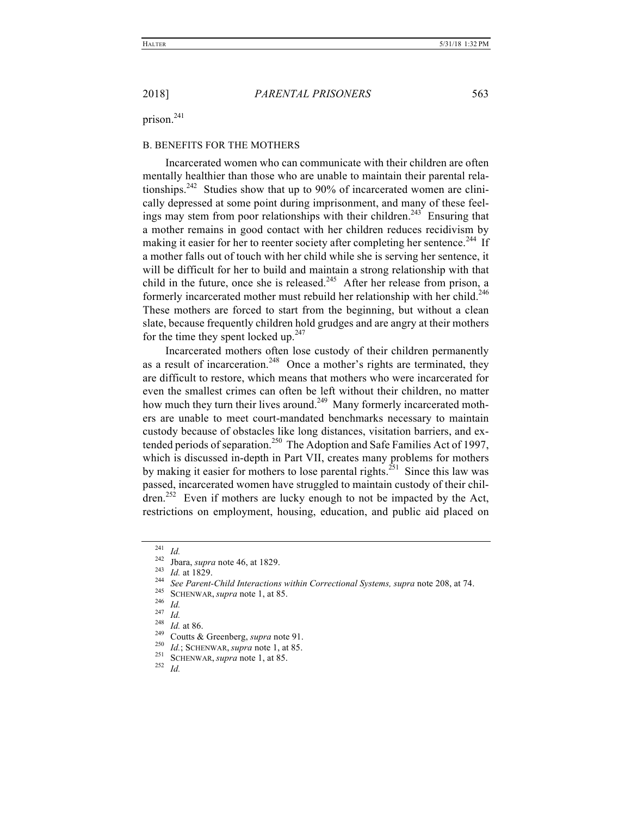prison.<sup>241</sup>

#### B. BENEFITS FOR THE MOTHERS

Incarcerated women who can communicate with their children are often mentally healthier than those who are unable to maintain their parental relationships.<sup>242</sup> Studies show that up to 90% of incarcerated women are clinically depressed at some point during imprisonment, and many of these feelings may stem from poor relationships with their children.<sup>243</sup> Ensuring that a mother remains in good contact with her children reduces recidivism by making it easier for her to reenter society after completing her sentence.<sup>244</sup> If a mother falls out of touch with her child while she is serving her sentence, it will be difficult for her to build and maintain a strong relationship with that child in the future, once she is released.<sup>245</sup> After her release from prison, a formerly incarcerated mother must rebuild her relationship with her child.<sup>246</sup> These mothers are forced to start from the beginning, but without a clean slate, because frequently children hold grudges and are angry at their mothers for the time they spent locked up. $247$ 

Incarcerated mothers often lose custody of their children permanently as a result of incarceration.<sup>248</sup> Once a mother's rights are terminated, they are difficult to restore, which means that mothers who were incarcerated for even the smallest crimes can often be left without their children, no matter how much they turn their lives around.<sup>249</sup> Many formerly incarcerated mothers are unable to meet court-mandated benchmarks necessary to maintain custody because of obstacles like long distances, visitation barriers, and extended periods of separation.<sup>250</sup> The Adoption and Safe Families Act of 1997, which is discussed in-depth in Part VII, creates many problems for mothers by making it easier for mothers to lose parental rights.<sup>251</sup> Since this law was passed, incarcerated women have struggled to maintain custody of their chil- $\text{d}$ ren.<sup>252</sup> Even if mothers are lucky enough to not be impacted by the Act, restrictions on employment, housing, education, and public aid placed on

<sup>&</sup>lt;sup>241</sup> *Id.*<br>
<sup>242</sup> Jbara, *supra* note 46, at 1829.<br>
<sup>243</sup> *Id.* at 1829.<br>
<sup>244</sup> *See Parent-Child Interactions within Correctional Systems, supra* note 208, at 74.<br>
<sup>245</sup> SCHENWAR, *supra* note 1, at 85.<br>
<sup>247</sup> *Id.*<br>
<sup>2</sup>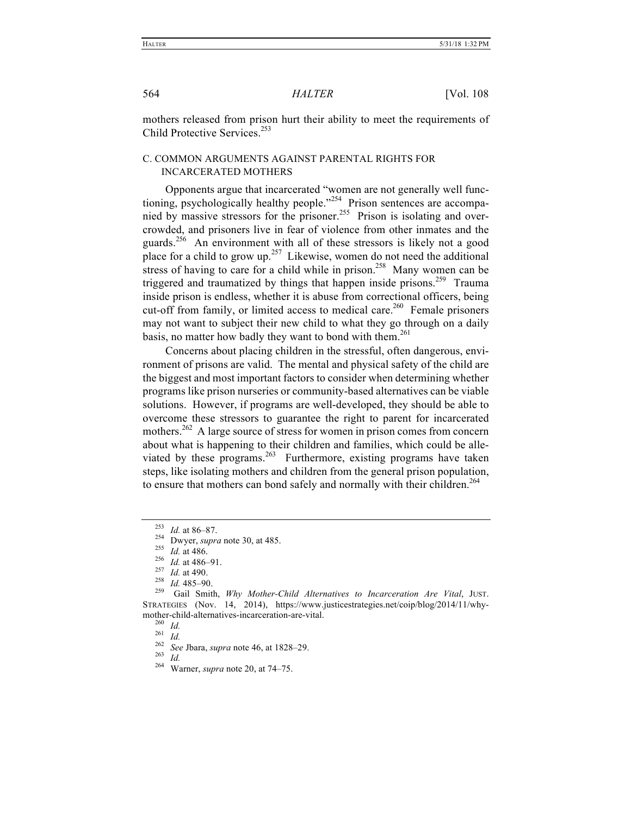mothers released from prison hurt their ability to meet the requirements of Child Protective Services<sup>253</sup>

### C. COMMON ARGUMENTS AGAINST PARENTAL RIGHTS FOR INCARCERATED MOTHERS

Opponents argue that incarcerated "women are not generally well functioning, psychologically healthy people."<sup>254</sup> Prison sentences are accompanied by massive stressors for the prisoner.<sup>255</sup> Prison is isolating and overcrowded, and prisoners live in fear of violence from other inmates and the guards.256 An environment with all of these stressors is likely not a good place for a child to grow up.<sup>257</sup> Likewise, women do not need the additional stress of having to care for a child while in prison.<sup>258</sup> Many women can be triggered and traumatized by things that happen inside prisons.<sup>259</sup> Trauma inside prison is endless, whether it is abuse from correctional officers, being cut-off from family, or limited access to medical care.<sup>260</sup> Female prisoners may not want to subject their new child to what they go through on a daily basis, no matter how badly they want to bond with them.<sup>261</sup>

Concerns about placing children in the stressful, often dangerous, environment of prisons are valid. The mental and physical safety of the child are the biggest and most important factors to consider when determining whether programs like prison nurseries or community-based alternatives can be viable solutions. However, if programs are well-developed, they should be able to overcome these stressors to guarantee the right to parent for incarcerated mothers.262 A large source of stress for women in prison comes from concern about what is happening to their children and families, which could be alleviated by these programs.<sup>263</sup> Furthermore, existing programs have taken steps, like isolating mothers and children from the general prison population, to ensure that mothers can bond safely and normally with their children.<sup>264</sup>

<sup>&</sup>lt;sup>253</sup> *Id.* at 86–87.<br>
<sup>254</sup> Dwyer, *supra* note 30, at 485.<br>
<sup>255</sup> *Id.* at 486.<br>
<sup>256</sup> *Id.* at 486–91.<br>
<sup>257</sup> *Id.* at 490.<br>
<sup>257</sup> *Id.* at 490.<br>
<sup>258</sup> *Id.* 485–90.<br>
Gail Smith, *Why Mother-Child Alternatives to Incar* STRATEGIES (Nov. 14, 2014), https://www.justicestrategies.net/coip/blog/2014/11/whymother-child-alternatives-incarceration-are-vital.<br>
<sup>260</sup> *Id.*<br>
<sup>262</sup> *See* Jbara, *supra* note 46, at 1828–29.<br>
<sup>263</sup> *Id.*<br>
<sup>264</sup> Warner, *supra* note 20, at 74–75.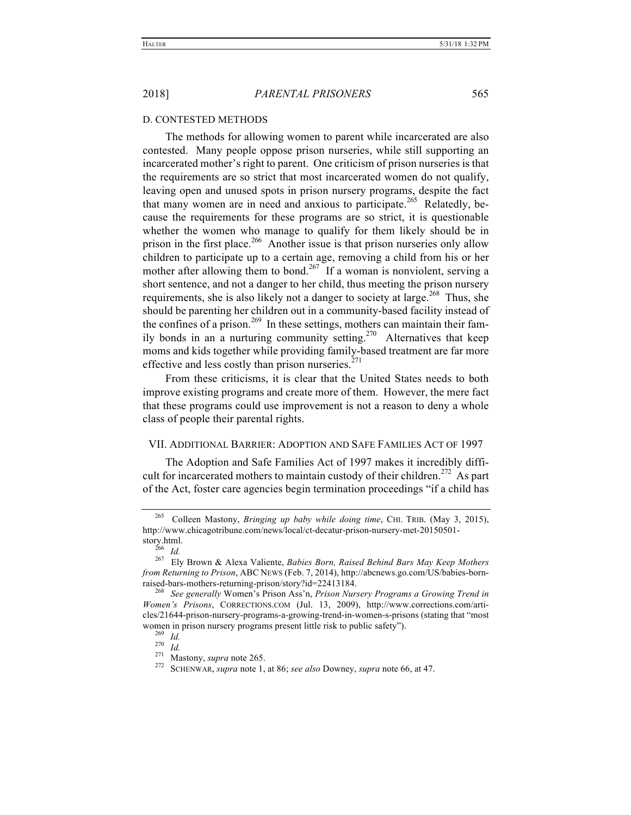#### D. CONTESTED METHODS

The methods for allowing women to parent while incarcerated are also contested. Many people oppose prison nurseries, while still supporting an incarcerated mother's right to parent. One criticism of prison nurseries is that the requirements are so strict that most incarcerated women do not qualify, leaving open and unused spots in prison nursery programs, despite the fact that many women are in need and anxious to participate.<sup>265</sup> Relatedly, because the requirements for these programs are so strict, it is questionable whether the women who manage to qualify for them likely should be in prison in the first place.<sup>266</sup> Another issue is that prison nurseries only allow children to participate up to a certain age, removing a child from his or her mother after allowing them to bond.<sup>267</sup> If a woman is nonviolent, serving a short sentence, and not a danger to her child, thus meeting the prison nursery requirements, she is also likely not a danger to society at large.<sup>268</sup> Thus, she should be parenting her children out in a community-based facility instead of the confines of a prison.<sup>269</sup> In these settings, mothers can maintain their family bonds in an a nurturing community setting.<sup>270</sup> Alternatives that keep moms and kids together while providing family-based treatment are far more effective and less costly than prison nurseries. $271$ 

From these criticisms, it is clear that the United States needs to both improve existing programs and create more of them. However, the mere fact that these programs could use improvement is not a reason to deny a whole class of people their parental rights.

#### VII. ADDITIONAL BARRIER: ADOPTION AND SAFE FAMILIES ACT OF 1997

The Adoption and Safe Families Act of 1997 makes it incredibly difficult for incarcerated mothers to maintain custody of their children.<sup>272</sup> As part of the Act, foster care agencies begin termination proceedings "if a child has

<sup>265</sup> Colleen Mastony, *Bringing up baby while doing time*, CHI. TRIB. (May 3, 2015), http://www.chicagotribune.com/news/local/ct-decatur-prison-nursery-met-20150501-<br>story.html.<br><sup>266</sup> Id.

story.html. <sup>266</sup> *Id.* <sup>267</sup> Ely Brown & Alexa Valiente, *Babies Born, Raised Behind Bars May Keep Mothers from Returning to Prison*, ABC NEWS (Feb. 7, 2014), http://abcnews.go.com/US/babies-born-

<sup>&</sup>lt;sup>268</sup> See generally Women's Prison Ass'n, *Prison Nursery Programs a Growing Trend in Women's Prisons*, CORRECTIONS.COM (Jul. 13, 2009), http://www.corrections.com/articles/21644-prison-nursery-programs-a-growing-trend-in-women-s-prisons (stating that "most women in prison nursery programs present little risk to public safety").<br>
<sup>269</sup> Id.<br>
<sup>270</sup> Id.<br>
<sup>271</sup> Mastony, *supra* note 265.<br>
<sup>272</sup> SCHENWAR, *supra* note 1, at 86; *see also* Downey, *supra* note 66, at 47.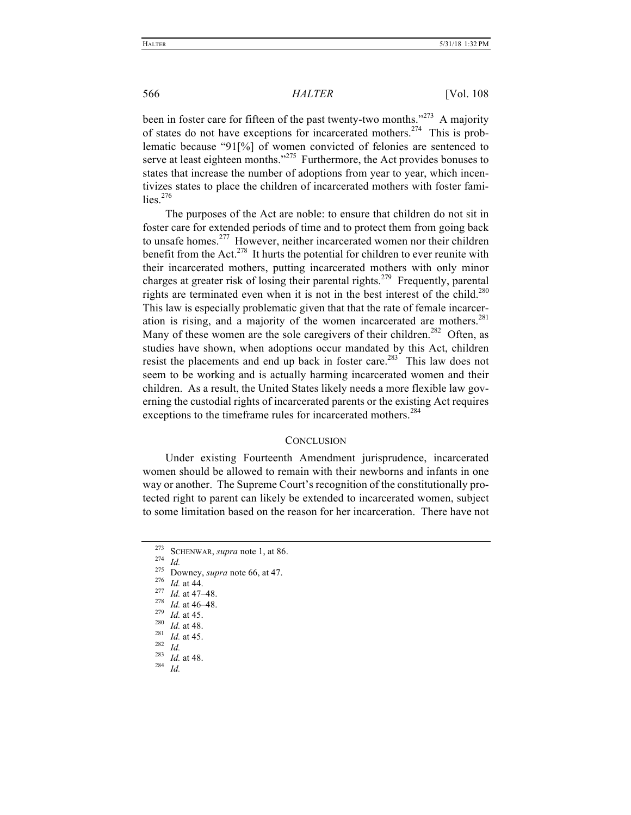been in foster care for fifteen of the past twenty-two months."<sup>273</sup> A majority of states do not have exceptions for incarcerated mothers.<sup>274</sup> This is problematic because "91[%] of women convicted of felonies are sentenced to serve at least eighteen months."<sup>275</sup> Furthermore, the Act provides bonuses to states that increase the number of adoptions from year to year, which incentivizes states to place the children of incarcerated mothers with foster families $276$ 

The purposes of the Act are noble: to ensure that children do not sit in foster care for extended periods of time and to protect them from going back to unsafe homes.<sup>277</sup> However, neither incarcerated women nor their children benefit from the Act.<sup>278</sup> It hurts the potential for children to ever reunite with their incarcerated mothers, putting incarcerated mothers with only minor charges at greater risk of losing their parental rights.279 Frequently, parental rights are terminated even when it is not in the best interest of the child.<sup>280</sup> This law is especially problematic given that that the rate of female incarceration is rising, and a majority of the women incarcerated are mothers.<sup>281</sup> Many of these women are the sole caregivers of their children.<sup>282</sup> Often, as studies have shown, when adoptions occur mandated by this Act, children resist the placements and end up back in foster care.<sup>283</sup> This law does not seem to be working and is actually harming incarcerated women and their children. As a result, the United States likely needs a more flexible law governing the custodial rights of incarcerated parents or the existing Act requires exceptions to the timeframe rules for incarcerated mothers.<sup>284</sup>

#### **CONCLUSION**

Under existing Fourteenth Amendment jurisprudence, incarcerated women should be allowed to remain with their newborns and infants in one way or another. The Supreme Court's recognition of the constitutionally protected right to parent can likely be extended to incarcerated women, subject to some limitation based on the reason for her incarceration. There have not

- 
- 
- 
- 
- 
- 

<sup>&</sup>lt;sup>273</sup> SCHENWAR, *supra* note 1, at 86.<br>
<sup>275</sup> Id.<br>
<sup>275</sup> Downey, *supra* note 66, at 47.<br>
<sup>276</sup> Id. at 44.<br>
<sup>277</sup> Id. at 44.<br>
<sup>278</sup> Id. at 46–48.<br>
<sup>279</sup> Id. at 45.<br>
<sup>280</sup> Id. at 48.<br>
<sup>281</sup> Id. at 45.<br>
<sup>281</sup> Id. at 45.<br>
<sup>2</sup>